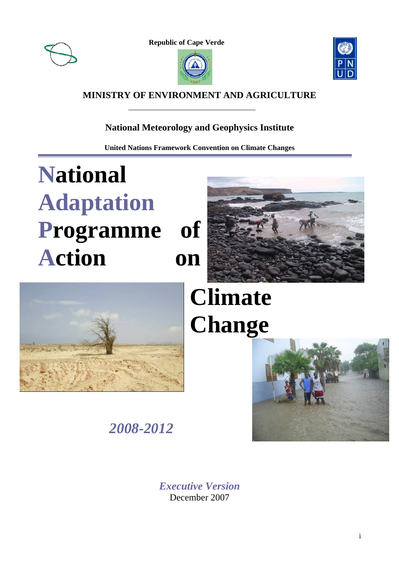

E

**Republic of Cape Verde** 





### **MINISTRY OF ENVIRONMENT AND AGRICULTURE**

### **National Meteorology and Geophysics Institute**

**United Nations Framework Convention on Climate Changes** 

# **National Adaptation Programme of Action on**





# **Climate Change**



*2008-2012* 

*Executive Version* December 2007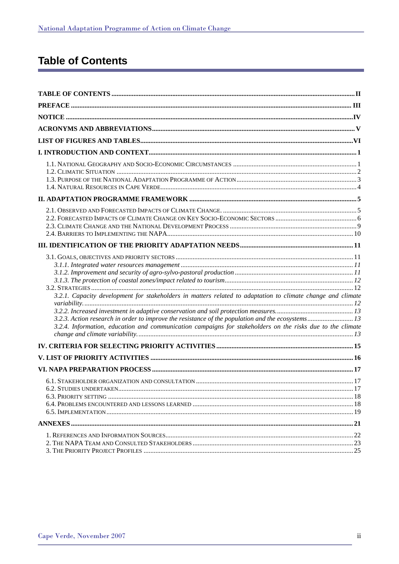### **Table of Contents**

| 3.2.1. Capacity development for stakeholders in matters related to adaptation to climate change and climate<br>3.2.3. Action research in order to improve the resistance of the population and the ecosystems 13<br>3.2.4. Information, education and communication campaigns for stakeholders on the risks due to the climate |  |
|--------------------------------------------------------------------------------------------------------------------------------------------------------------------------------------------------------------------------------------------------------------------------------------------------------------------------------|--|
|                                                                                                                                                                                                                                                                                                                                |  |
|                                                                                                                                                                                                                                                                                                                                |  |
|                                                                                                                                                                                                                                                                                                                                |  |
|                                                                                                                                                                                                                                                                                                                                |  |
|                                                                                                                                                                                                                                                                                                                                |  |
|                                                                                                                                                                                                                                                                                                                                |  |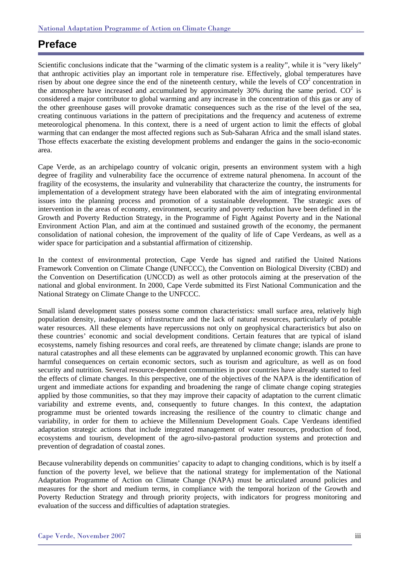### **Preface**

Scientific conclusions indicate that the "warming of the climatic system is a reality", while it is "very likely" that anthropic activities play an important role in temperature rise. Effectively, global temperatures have risen by about one degree since the end of the nineteenth century, while the levels of  $CO<sup>2</sup>$  concentration in the atmosphere have increased and accumulated by approximately 30% during the same period.  $CO^2$  is considered a major contributor to global warming and any increase in the concentration of this gas or any of the other greenhouse gases will provoke dramatic consequences such as the rise of the level of the sea, creating continuous variations in the pattern of precipitations and the frequency and acuteness of extreme meteorological phenomena. In this context, there is a need of urgent action to limit the effects of global warming that can endanger the most affected regions such as Sub-Saharan Africa and the small island states. Those effects exacerbate the existing development problems and endanger the gains in the socio-economic area.

Cape Verde, as an archipelago country of volcanic origin, presents an environment system with a high degree of fragility and vulnerability face the occurrence of extreme natural phenomena. In account of the fragility of the ecosystems, the insularity and vulnerability that characterize the country, the instruments for implementation of a development strategy have been elaborated with the aim of integrating environmental issues into the planning process and promotion of a sustainable development. The strategic axes of intervention in the areas of economy, environment, security and poverty reduction have been defined in the Growth and Poverty Reduction Strategy, in the Programme of Fight Against Poverty and in the National Environment Action Plan, and aim at the continued and sustained growth of the economy, the permanent consolidation of national cohesion, the improvement of the quality of life of Cape Verdeans, as well as a wider space for participation and a substantial affirmation of citizenship.

In the context of environmental protection, Cape Verde has signed and ratified the United Nations Framework Convention on Climate Change (UNFCCC), the Convention on Biological Diversity (CBD) and the Convention on Desertification (UNCCD) as well as other protocols aiming at the preservation of the national and global environment. In 2000, Cape Verde submitted its First National Communication and the National Strategy on Climate Change to the UNFCCC.

Small island development states possess some common characteristics: small surface area, relatively high population density, inadequacy of infrastructure and the lack of natural resources, particularly of potable water resources. All these elements have repercussions not only on geophysical characteristics but also on these countries' economic and social development conditions. Certain features that are typical of island ecosystems, namely fishing resources and coral reefs, are threatened by climate change; islands are prone to natural catastrophes and all these elements can be aggravated by unplanned economic growth. This can have harmful consequences on certain economic sectors, such as tourism and agriculture, as well as on food security and nutrition. Several resource-dependent communities in poor countries have already started to feel the effects of climate changes. In this perspective, one of the objectives of the NAPA is the identification of urgent and immediate actions for expanding and broadening the range of climate change coping strategies applied by those communities, so that they may improve their capacity of adaptation to the current climatic variability and extreme events, and, consequently to future changes. In this context, the adaptation programme must be oriented towards increasing the resilience of the country to climatic change and variability, in order for them to achieve the Millennium Development Goals. Cape Verdeans identified adaptation strategic actions that include integrated management of water resources, production of food, ecosystems and tourism, development of the agro-silvo-pastoral production systems and protection and prevention of degradation of coastal zones.

Because vulnerability depends on communities' capacity to adapt to changing conditions, which is by itself a function of the poverty level, we believe that the national strategy for implementation of the National Adaptation Programme of Action on Climate Change (NAPA) must be articulated around policies and measures for the short and medium terms, in compliance with the temporal horizon of the Growth and Poverty Reduction Strategy and through priority projects, with indicators for progress monitoring and evaluation of the success and difficulties of adaptation strategies.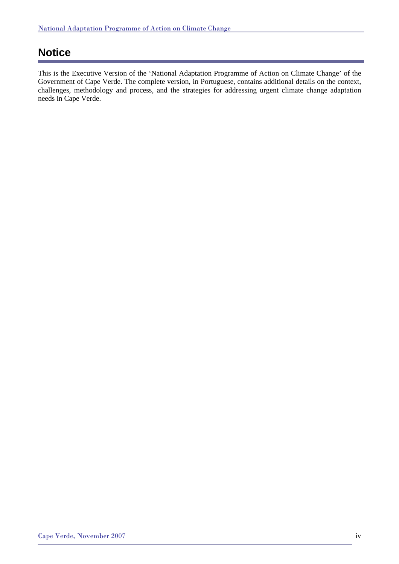### **Notice**

This is the Executive Version of the 'National Adaptation Programme of Action on Climate Change' of the Government of Cape Verde. The complete version, in Portuguese, contains additional details on the context, challenges, methodology and process, and the strategies for addressing urgent climate change adaptation needs in Cape Verde.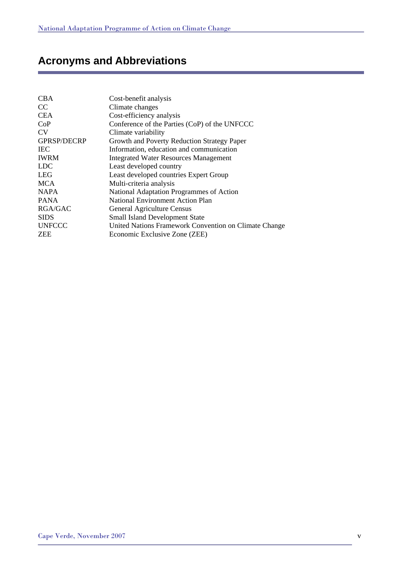### **Acronyms and Abbreviations**

| <b>CBA</b>         | Cost-benefit analysis                                 |
|--------------------|-------------------------------------------------------|
| CC                 | Climate changes                                       |
| <b>CEA</b>         | Cost-efficiency analysis                              |
| CoP                | Conference of the Parties (CoP) of the UNFCCC         |
| <b>CV</b>          | Climate variability                                   |
| <b>GPRSP/DECRP</b> | Growth and Poverty Reduction Strategy Paper           |
| <b>IEC</b>         | Information, education and communication              |
| <b>IWRM</b>        | <b>Integrated Water Resources Management</b>          |
| <b>LDC</b>         | Least developed country                               |
| <b>LEG</b>         | Least developed countries Expert Group                |
| <b>MCA</b>         | Multi-criteria analysis                               |
| <b>NAPA</b>        | National Adaptation Programmes of Action              |
| <b>PANA</b>        | <b>National Environment Action Plan</b>               |
| <b>RGA/GAC</b>     | General Agriculture Census                            |
| <b>SIDS</b>        | <b>Small Island Development State</b>                 |
| <b>UNFCCC</b>      | United Nations Framework Convention on Climate Change |
| <b>ZEE</b>         | Economic Exclusive Zone (ZEE)                         |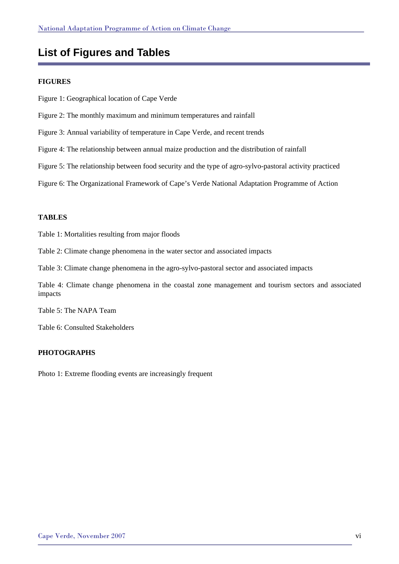### **List of Figures and Tables**

### **FIGURES**

- Figure 1: Geographical location of Cape Verde
- Figure 2: The monthly maximum and minimum temperatures and rainfall
- Figure 3: Annual variability of temperature in Cape Verde, and recent trends
- Figure 4: The relationship between annual maize production and the distribution of rainfall
- Figure 5: The relationship between food security and the type of agro-sylvo-pastoral activity practiced

Figure 6: The Organizational Framework of Cape's Verde National Adaptation Programme of Action

### **TABLES**

Table 1: Mortalities resulting from major floods

Table 2: Climate change phenomena in the water sector and associated impacts

Table 3: Climate change phenomena in the agro-sylvo-pastoral sector and associated impacts

Table 4: Climate change phenomena in the coastal zone management and tourism sectors and associated impacts

Table 5: The NAPA Team

Table 6: Consulted Stakeholders

#### **PHOTOGRAPHS**

Photo 1: Extreme flooding events are increasingly frequent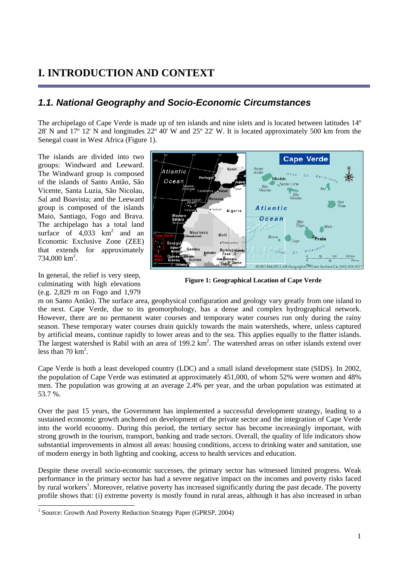### **I. INTRODUCTION AND CONTEXT**

### *1.1. National Geography and Socio-Economic Circumstances*

The archipelago of Cape Verde is made up of ten islands and nine islets and is located between latitudes 14º 28' N and 17º 12' N and longitudes 22º 40' W and 25º 22' W. It is located approximately 500 km from the Senegal coast in West Africa (Figure 1).

The islands are divided into two groups: Windward and Leeward. The Windward group is composed of the islands of Santo Antão, São Vicente, Santa Luzia, São Nicolau, Sal and Boavista; and the Leeward group is composed of the islands Maio, Santiago, Fogo and Brava. The archipelago has a total land surface of  $4,033$  km<sup>2</sup> and an Economic Exclusive Zone (ZEE) that extends for approximately  $734,000$  km<sup>2</sup>.

In general, the relief is very steep, culminating with high elevations (e.g. 2,829 m on Fogo and 1,979



**Figure 1: Geographical Location of Cape Verde**

m on Santo Antão). The surface area, geophysical configuration and geology vary greatly from one island to the next. Cape Verde, due to its geomorphology, has a dense and complex hydrographical network. However, there are no permanent water courses and temporary water courses run only during the rainy season. These temporary water courses drain quickly towards the main watersheds, where, unless captured by artificial means, continue rapidly to lower areas and to the sea. This applies equally to the flatter islands. The largest watershed is Rabil with an area of  $199.2 \text{ km}^2$ . The watershed areas on other islands extend over less than  $70 \text{ km}^2$ .

Cape Verde is both a least developed country (LDC) and a small island development state (SIDS). In 2002, the population of Cape Verde was estimated at approximately 451,000, of whom 52% were women and 48% men. The population was growing at an average 2.4% per year, and the urban population was estimated at 53.7 %.

Over the past 15 years, the Government has implemented a successful development strategy, leading to a sustained economic growth anchored on development of the private sector and the integration of Cape Verde into the world economy. During this period, the tertiary sector has become increasingly important, with strong growth in the tourism, transport, banking and trade sectors. Overall, the quality of life indicators show substantial improvements in almost all areas: housing conditions, access to drinking water and sanitation, use of modern energy in both lighting and cooking, access to health services and education.

Despite these overall socio-economic successes, the primary sector has witnessed limited progress. Weak performance in the primary sector has had a severe negative impact on the incomes and poverty risks faced by rural workers<sup>1</sup>. Moreover, relative poverty has increased significantly during the past decade. The poverty profile shows that: (i) extreme poverty is mostly found in rural areas, although it has also increased in urban

<sup>&</sup>lt;sup>1</sup> Source: Growth And Poverty Reduction Strategy Paper (GPRSP, 2004)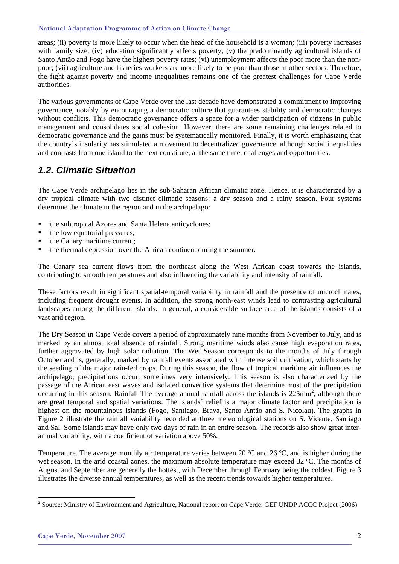areas; (ii) poverty is more likely to occur when the head of the household is a woman; (iii) poverty increases with family size; (iv) education significantly affects poverty; (v) the predominantly agricultural islands of Santo Antão and Fogo have the highest poverty rates; (vi) unemployment affects the poor more than the nonpoor; (vii) agriculture and fisheries workers are more likely to be poor than those in other sectors. Therefore, the fight against poverty and income inequalities remains one of the greatest challenges for Cape Verde authorities.

The various governments of Cape Verde over the last decade have demonstrated a commitment to improving governance, notably by encouraging a democratic culture that guarantees stability and democratic changes without conflicts. This democratic governance offers a space for a wider participation of citizens in public management and consolidates social cohesion. However, there are some remaining challenges related to democratic governance and the gains must be systematically monitored. Finally, it is worth emphasizing that the country's insularity has stimulated a movement to decentralized governance, although social inequalities and contrasts from one island to the next constitute, at the same time, challenges and opportunities.

### *1.2. Climatic Situation*

The Cape Verde archipelago lies in the sub-Saharan African climatic zone. Hence, it is characterized by a dry tropical climate with two distinct climatic seasons: a dry season and a rainy season. Four systems determine the climate in the region and in the archipelago:

- the subtropical Azores and Santa Helena anticyclones;
- $\blacksquare$  the low equatorial pressures;
- the Canary maritime current;
- the thermal depression over the African continent during the summer.

The Canary sea current flows from the northeast along the West African coast towards the islands, contributing to smooth temperatures and also influencing the variability and intensity of rainfall.

These factors result in significant spatial-temporal variability in rainfall and the presence of microclimates, including frequent drought events. In addition, the strong north-east winds lead to contrasting agricultural landscapes among the different islands. In general, a considerable surface area of the islands consists of a vast arid region.

The Dry Season in Cape Verde covers a period of approximately nine months from November to July, and is marked by an almost total absence of rainfall. Strong maritime winds also cause high evaporation rates, further aggravated by high solar radiation. The Wet Season corresponds to the months of July through October and is, generally, marked by rainfall events associated with intense soil cultivation, which starts by the seeding of the major rain-fed crops. During this season, the flow of tropical maritime air influences the archipelago, precipitations occur, sometimes very intensively. This season is also characterized by the passage of the African east waves and isolated convective systems that determine most of the precipitation occurring in this season. Rainfall The average annual rainfall across the islands is 225mm<sup>2</sup>, although there are great temporal and spatial variations. The islands' relief is a major climate factor and precipitation is highest on the mountainous islands (Fogo, Santiago, Brava, Santo Antão and S. Nicolau). The graphs in Figure 2 illustrate the rainfall variability recorded at three meteorological stations on S. Vicente, Santiago and Sal. Some islands may have only two days of rain in an entire season. The records also show great interannual variability, with a coefficient of variation above 50%.

Temperature. The average monthly air temperature varies between 20 ºC and 26 ºC, and is higher during the wet season. In the arid coastal zones, the maximum absolute temperature may exceed 32 ºC. The months of August and September are generally the hottest, with December through February being the coldest. Figure 3 illustrates the diverse annual temperatures, as well as the recent trends towards higher temperatures.

l <sup>2</sup> Source: Ministry of Environment and Agriculture, National report on Cape Verde, GEF UNDP ACCC Project (2006)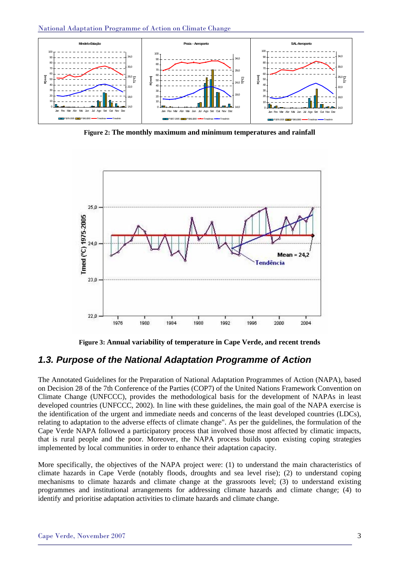

**Figure 2: The monthly maximum and minimum temperatures and rainfall**



**Figure 3: Annual variability of temperature in Cape Verde, and recent trends** 

### *1.3. Purpose of the National Adaptation Programme of Action*

The Annotated Guidelines for the Preparation of National Adaptation Programmes of Action (NAPA), based on Decision 28 of the 7th Conference of the Parties (COP7) of the United Nations Framework Convention on Climate Change (UNFCCC), provides the methodological basis for the development of NAPAs in least developed countries (UNFCCC, 2002). In line with these guidelines, the main goal of the NAPA exercise is the identification of the urgent and immediate needs and concerns of the least developed countries (LDCs), relating to adaptation to the adverse effects of climate change". As per the guidelines, the formulation of the Cape Verde NAPA followed a participatory process that involved those most affected by climatic impacts, that is rural people and the poor. Moreover, the NAPA process builds upon existing coping strategies implemented by local communities in order to enhance their adaptation capacity.

More specifically, the objectives of the NAPA project were: (1) to understand the main characteristics of climate hazards in Cape Verde (notably floods, droughts and sea level rise); (2) to understand coping mechanisms to climate hazards and climate change at the grassroots level; (3) to understand existing programmes and institutional arrangements for addressing climate hazards and climate change; (4) to identify and prioritise adaptation activities to climate hazards and climate change.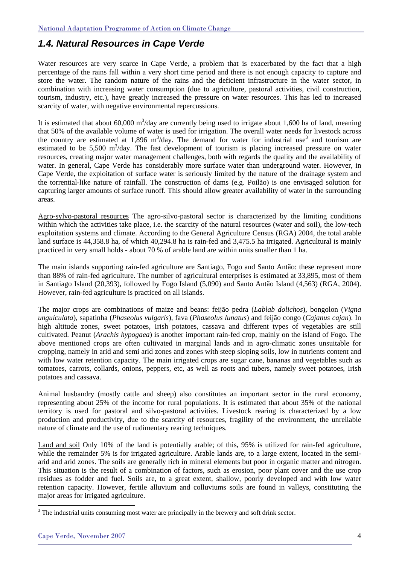### *1.4. Natural Resources in Cape Verde*

Water resources are very scarce in Cape Verde, a problem that is exacerbated by the fact that a high percentage of the rains fall within a very short time period and there is not enough capacity to capture and store the water. The random nature of the rains and the deficient infrastructure in the water sector, in combination with increasing water consumption (due to agriculture, pastoral activities, civil construction, tourism, industry, etc.), have greatly increased the pressure on water resources. This has led to increased scarcity of water, with negative environmental repercussions.

It is estimated that about 60,000  $\text{m}^3/\text{day}$  are currently being used to irrigate about 1,600 ha of land, meaning that 50% of the available volume of water is used for irrigation. The overall water needs for livestock across the country are estimated at 1,896 m<sup>3</sup>/day. The demand for water for industrial use<sup>3</sup> and tourism are estimated to be 5,500 m<sup>3</sup>/day. The fast development of tourism is placing increased pressure on water resources, creating major water management challenges, both with regards the quality and the availability of water. In general, Cape Verde has considerably more surface water than underground water. However, in Cape Verde, the exploitation of surface water is seriously limited by the nature of the drainage system and the torrential-like nature of rainfall. The construction of dams (e.g. Poilão) is one envisaged solution for capturing larger amounts of surface runoff. This should allow greater availability of water in the surrounding areas.

Agro-sylvo-pastoral resources The agro-silvo-pastoral sector is characterized by the limiting conditions within which the activities take place, i.e. the scarcity of the natural resources (water and soil), the low-tech exploitation systems and climate. According to the General Agriculture Census (RGA) 2004, the total arable land surface is 44,358.8 ha, of which 40,294.8 ha is rain-fed and 3,475.5 ha irrigated. Agricultural is mainly practiced in very small holds - about 70 % of arable land are within units smaller than 1 ha.

The main islands supporting rain-fed agriculture are Santiago, Fogo and Santo Antão: these represent more than 88% of rain-fed agriculture. The number of agricultural enterprises is estimated at 33,895, most of them in Santiago Island (20,393), followed by Fogo Island (5,090) and Santo Antão Island (4,563) (RGA, 2004). However, rain-fed agriculture is practiced on all islands.

The major crops are combinations of maize and beans: feijão pedra (*Lablab dolichos*), bongolon (*Vigna unguiculata*), sapatinha (*Phaseolus vulgaris*), fava (*Phaseolus lunatus*) and feijão congo (*Cajanus cajan*). In high altitude zones, sweet potatoes, Irish potatoes, cassava and different types of vegetables are still cultivated. Peanut (*Arachis hypogaea*) is another important rain-fed crop, mainly on the island of Fogo. The above mentioned crops are often cultivated in marginal lands and in agro-climatic zones unsuitable for cropping, namely in arid and semi arid zones and zones with steep sloping soils, low in nutrients content and with low water retention capacity. The main irrigated crops are sugar cane, bananas and vegetables such as tomatoes, carrots, collards, onions, peppers, etc, as well as roots and tubers, namely sweet potatoes, Irish potatoes and cassava.

Animal husbandry (mostly cattle and sheep) also constitutes an important sector in the rural economy, representing about 25% of the income for rural populations. It is estimated that about 35% of the national territory is used for pastoral and silvo-pastoral activities. Livestock rearing is characterized by a low production and productivity, due to the scarcity of resources, fragility of the environment, the unreliable nature of climate and the use of rudimentary rearing techniques.

Land and soil Only 10% of the land is potentially arable; of this, 95% is utilized for rain-fed agriculture, while the remainder 5% is for irrigated agriculture. Arable lands are, to a large extent, located in the semiarid and arid zones. The soils are generally rich in mineral elements but poor in organic matter and nitrogen. This situation is the result of a combination of factors, such as erosion, poor plant cover and the use crop residues as fodder and fuel. Soils are, to a great extent, shallow, poorly developed and with low water retention capacity. However, fertile alluvium and colluviums soils are found in valleys, constituting the major areas for irrigated agriculture.

<sup>&</sup>lt;sup>3</sup> The industrial units consuming most water are principally in the brewery and soft drink sector.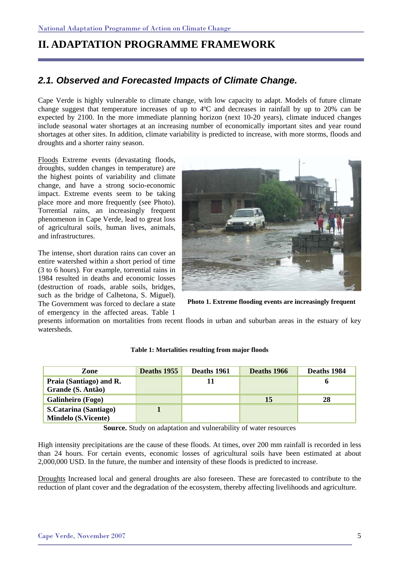### **II. ADAPTATION PROGRAMME FRAMEWORK**

### *2.1. Observed and Forecasted Impacts of Climate Change.*

Cape Verde is highly vulnerable to climate change, with low capacity to adapt. Models of future climate change suggest that temperature increases of up to 4ºC and decreases in rainfall by up to 20% can be expected by 2100. In the more immediate planning horizon (next 10-20 years), climate induced changes include seasonal water shortages at an increasing number of economically important sites and year round shortages at other sites. In addition, climate variability is predicted to increase, with more storms, floods and droughts and a shorter rainy season.

Floods Extreme events (devastating floods, droughts, sudden changes in temperature) are the highest points of variability and climate change, and have a strong socio-economic impact. Extreme events seem to be taking place more and more frequently (see Photo). Torrential rains, an increasingly frequent phenomenon in Cape Verde, lead to great loss of agricultural soils, human lives, animals, and infrastructures.

The intense, short duration rains can cover an entire watershed within a short period of time (3 to 6 hours). For example, torrential rains in 1984 resulted in deaths and economic losses (destruction of roads, arable soils, bridges, such as the bridge of Calhetona, S. Miguel). The Government was forced to declare a state of emergency in the affected areas. Table 1



**Photo 1. Extreme flooding events are increasingly frequent** 

presents information on mortalities from recent floods in urban and suburban areas in the estuary of key watersheds.

| Zone                         | Deaths 1955 | Deaths 1961 | Deaths 1966 | Deaths 1984 |
|------------------------------|-------------|-------------|-------------|-------------|
| Praia (Santiago) and R.      |             | 11          |             | o           |
| Grande (S. Antão)            |             |             |             |             |
| Galinheiro (Fogo)            |             |             | 15          | 28          |
| <b>S.Catarina (Santiago)</b> |             |             |             |             |
| <b>Mindelo (S.Vicente)</b>   |             |             |             |             |

#### **Table 1: Mortalities resulting from major floods**

**Source.** Study on adaptation and vulnerability of water resources

High intensity precipitations are the cause of these floods. At times, over 200 mm rainfall is recorded in less than 24 hours. For certain events, economic losses of agricultural soils have been estimated at about 2,000,000 USD. In the future, the number and intensity of these floods is predicted to increase.

Droughts Increased local and general droughts are also foreseen. These are forecasted to contribute to the reduction of plant cover and the degradation of the ecosystem, thereby affecting livelihoods and agriculture.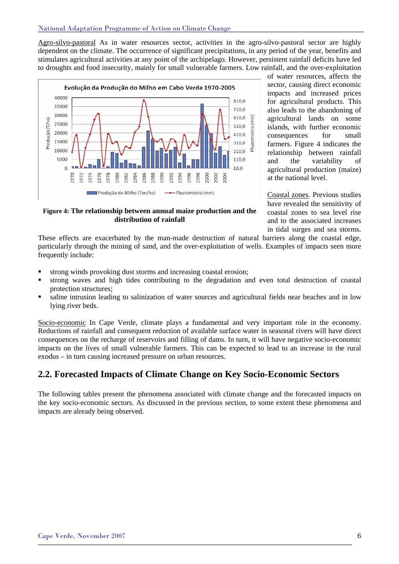#### National Adaptation Programme of Action on Climate Change

Agro-silvo-pastoral As in water resources sector, activities in the agro-silvo-pastoral sector are highly dependent on the climate. The occurrence of significant precipitations, in any period of the year, benefits and stimulates agricultural activities at any point of the archipelago. However, persistent rainfall deficits have led to droughts and food insecurity, mainly for small vulnerable farmers. Low rainfall, and the over-exploitation



of water resources, affects the sector, causing direct economic impacts and increased prices for agricultural products. This also leads to the abandoning of agricultural lands on some islands, with further economic consequences for small farmers. Figure 4 indicates the relationship between rainfall and the variability of agricultural production (maize) at the national level.

Coastal zones. Previous studies have revealed the sensitivity of coastal zones to sea level rise and to the associated increases in tidal surges and sea storms.

**Figure 4: The relationship between annual maize production and the distribution of rainfall** 

These effects are exacerbated by the man-made destruction of natural barriers along the coastal edge, particularly through the mining of sand, and the over-exploitation of wells. Examples of impacts seen more frequently include:

- strong winds provoking dust storms and increasing coastal erosion;
- strong waves and high tides contributing to the degradation and even total destruction of coastal protection structures;
- saline intrusion leading to salinization of water sources and agricultural fields near beaches and in low lying river beds.

Socio-economic In Cape Verde, climate plays a fundamental and very important role in the economy. Reductions of rainfall and consequent reduction of available surface water in seasonal rivers will have direct consequences on the recharge of reservoirs and filling of dams. In turn, it will have negative socio-economic impacts on the lives of small vulnerable farmers. This can be expected to lead to an increase in the rural exodus – in turn causing increased pressure on urban resources.

### **2.2. Forecasted Impacts of Climate Change on Key Socio-Economic Sectors**

The following tables present the phenomena associated with climate change and the forecasted impacts on the key socio-economic sectors. As discussed in the previous section, to some extent these phenomena and impacts are already being observed.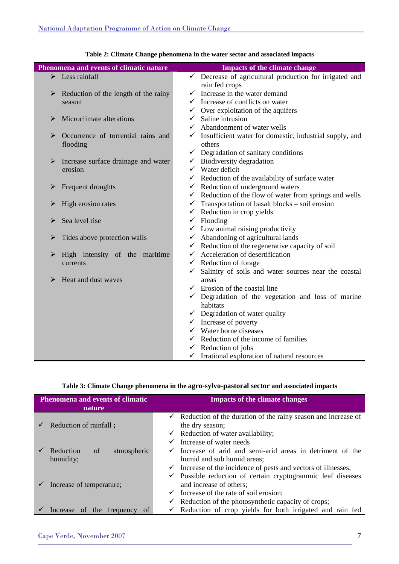| Phenomena and events of climatic nature                      | <b>Impacts of the climate change</b>                                           |
|--------------------------------------------------------------|--------------------------------------------------------------------------------|
| $\triangleright$ Less rainfall                               | $\checkmark$ Decrease of agricultural production for irrigated and             |
|                                                              | rain fed crops                                                                 |
| Reduction of the length of the rainy<br>➤                    | Increase in the water demand<br>✓                                              |
| season                                                       | $\checkmark$ Increase of conflicts on water                                    |
|                                                              | $\checkmark$ Over exploitation of the aquifers                                 |
| Microclimate alterations<br>➤                                | $\checkmark$ Saline intrusion                                                  |
|                                                              | $\checkmark$ Abandonment of water wells                                        |
| ➤<br>Occurrence of torrential rains and<br>flooding          | $\checkmark$ Insufficient water for domestic, industrial supply, and<br>others |
|                                                              | $\checkmark$ Degradation of sanitary conditions                                |
| $\blacktriangleright$<br>Increase surface drainage and water | $\checkmark$ Biodiversity degradation                                          |
| erosion                                                      | $\checkmark$ Water deficit                                                     |
|                                                              | $\checkmark$ Reduction of the availability of surface water                    |
| Frequent droughts<br>➤                                       | $\checkmark$ Reduction of underground waters                                   |
|                                                              | $\checkmark$ Reduction of the flow of water from springs and wells             |
| High erosion rates<br>➤                                      | $\checkmark$ Transportation of basalt blocks – soil erosion                    |
|                                                              | $\checkmark$ Reduction in crop yields                                          |
| Sea level rise                                               | $\checkmark$ Flooding                                                          |
|                                                              | $\checkmark$ Low animal raising productivity                                   |
| ➤<br>Tides above protection walls                            | $\checkmark$ Abandoning of agricultural lands                                  |
|                                                              | $\checkmark$ Reduction of the regenerative capacity of soil                    |
| High intensity of the maritime<br>➤                          | $\checkmark$ Acceleration of desertification                                   |
| currents                                                     | $\checkmark$ Reduction of forage                                               |
|                                                              | Salinity of soils and water sources near the coastal<br>$\checkmark$           |
| Heat and dust waves<br>➤                                     | areas                                                                          |
|                                                              | $\checkmark$ Erosion of the coastal line                                       |
|                                                              | $\checkmark$ Degradation of the vegetation and loss of marine                  |
|                                                              | habitats                                                                       |
|                                                              | $\checkmark$ Degradation of water quality                                      |
|                                                              | $\checkmark$ Increase of poverty                                               |
|                                                              | $\checkmark$ Water borne diseases                                              |
|                                                              | $\checkmark$ Reduction of the income of families                               |
|                                                              | $\checkmark$ Reduction of jobs                                                 |
|                                                              | $\checkmark$ Irrational exploration of natural resources                       |

|  |  |  |  | Table 2: Climate Change phenomena in the water sector and associated impacts |
|--|--|--|--|------------------------------------------------------------------------------|
|--|--|--|--|------------------------------------------------------------------------------|

### **Table 3: Climate Change phenomena in the agro-sylvo-pastoral sector and associated impacts**

| <b>Phenomena and events of climatic</b><br>nature | <b>Impacts of the climate changes</b>                                                            |  |
|---------------------------------------------------|--------------------------------------------------------------------------------------------------|--|
| Reduction of rainfall;                            | Reduction of the duration of the rainy season and increase of<br>$\checkmark$<br>the dry season; |  |
|                                                   | $\checkmark$ Reduction of water availability;                                                    |  |
|                                                   | Increase of water needs<br>$\checkmark$                                                          |  |
| Reduction<br>of<br>atmospheric                    | Increase of arid and semi-arid areas in detriment of the<br>$\checkmark$                         |  |
| humidity;                                         | humid and sub humid areas;                                                                       |  |
|                                                   | $\checkmark$ Increase of the incidence of pests and vectors of illnesses;                        |  |
|                                                   | $\checkmark$ Possible reduction of certain cryptogrammic leaf diseases                           |  |
| Increase of temperature;                          | and increase of others;                                                                          |  |
|                                                   | $\checkmark$ Increase of the rate of soil erosion;                                               |  |
|                                                   | Reduction of the photosynthetic capacity of crops;<br>v.                                         |  |
| of the frequency<br>Increase                      | $\checkmark$ Reduction of crop yields for both irrigated and rain fed                            |  |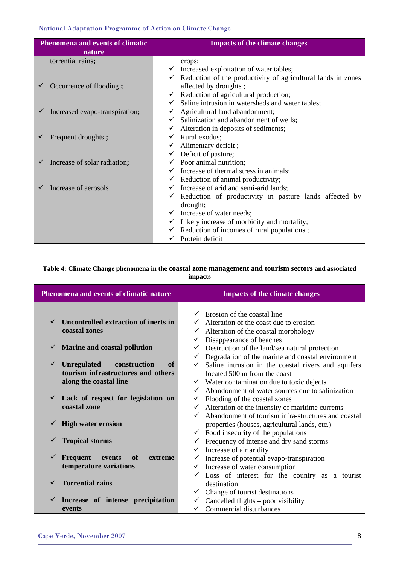### National Adaptation Programme of Action on Climate Change

| <b>Phenomena and events of climatic</b><br>nature | <b>Impacts of the climate changes</b>                                                                                                                                                                            |  |
|---------------------------------------------------|------------------------------------------------------------------------------------------------------------------------------------------------------------------------------------------------------------------|--|
| torrential rains;                                 | crops;                                                                                                                                                                                                           |  |
| Occurrence of flooding;                           | $\checkmark$ Increased exploitation of water tables;<br>$\checkmark$ Reduction of the productivity of agricultural lands in zones<br>affected by droughts;<br>$\checkmark$ Reduction of agricultural production; |  |
| Increased evapo-transpiration;                    | Saline intrusion in watersheds and water tables;<br>$\checkmark$<br>$\checkmark$ Agricultural land abandonment;<br>Salinization and abandonment of wells;<br>$\checkmark$                                        |  |
| Frequent droughts ;                               | Alteration in deposits of sediments;<br>✓<br>Rural exodus;<br>$\checkmark$<br>$\checkmark$ Alimentary deficit;                                                                                                   |  |
| Increase of solar radiation;                      | $\checkmark$ Deficit of pasture;<br>$\checkmark$ Poor animal nutrition;<br>$\checkmark$ Increase of thermal stress in animals;                                                                                   |  |
| Increase of aerosols                              | $\checkmark$ Reduction of animal productivity;<br>$\checkmark$ Increase of arid and semi-arid lands;<br>$\checkmark$ Reduction of productivity in pasture lands affected by<br>drought;                          |  |
|                                                   | $\checkmark$ Increase of water needs;<br>$\checkmark$ Likely increase of morbidity and mortality;<br>$\checkmark$ Reduction of incomes of rural populations ;<br>$\checkmark$ Protein deficit                    |  |

### **Table 4: Climate Change phenomena in the coastal zone management and tourism sectors and associated impacts**

| Phenomena and events of climatic nature                                                                                  | <b>Impacts of the climate changes</b>                                                                                                                                                                                        |  |
|--------------------------------------------------------------------------------------------------------------------------|------------------------------------------------------------------------------------------------------------------------------------------------------------------------------------------------------------------------------|--|
| Uncontrolled extraction of inerts in<br>coastal zones                                                                    | $\checkmark$ Erosion of the coastal line<br>Alteration of the coast due to erosion<br>Alteration of the coastal morphology<br>✓                                                                                              |  |
| $\checkmark$ Marine and coastal pollution                                                                                | Disappearance of beaches<br>✓<br>Destruction of the land/sea natural protection<br>$\checkmark$<br>Degradation of the marine and coastal environment                                                                         |  |
| <b>Unregulated</b><br>construction<br>$\checkmark$<br>of<br>tourism infrastructures and others<br>along the coastal line | Saline intrusion in the coastal rivers and aquifers<br>located 500 m from the coast<br>$\checkmark$ Water contamination due to toxic dejects                                                                                 |  |
| $\checkmark$ Lack of respect for legislation on<br>coastal zone                                                          | Abandonment of water sources due to salinization<br>$\checkmark$<br>Flooding of the coastal zones<br>Alteration of the intensity of maritime currents<br>$\checkmark$<br>Abandonment of tourism infra-structures and coastal |  |
| <b>High water erosion</b><br>$\checkmark$                                                                                | properties (houses, agricultural lands, etc.)<br>$\checkmark$ Food insecurity of the populations                                                                                                                             |  |
| <b>Tropical storms</b><br>$\checkmark$                                                                                   | Frequency of intense and dry sand storms<br>Increase of air aridity<br>$\checkmark$                                                                                                                                          |  |
| Frequent<br>of<br>events<br>extreme<br>$\checkmark$<br>temperature variations                                            | Increase of potential evapo-transpiration<br>✓<br>$\checkmark$ Increase of water consumption<br>Loss of interest for the country as a tourist                                                                                |  |
| <b>Torrential rains</b><br>$\checkmark$                                                                                  | destination<br>Change of tourist destinations<br>✓                                                                                                                                                                           |  |
| Increase of intense precipitation<br>$\checkmark$<br>events                                                              | Cancelled flights – poor visibility<br>$\checkmark$<br>$\checkmark$ Commercial disturbances                                                                                                                                  |  |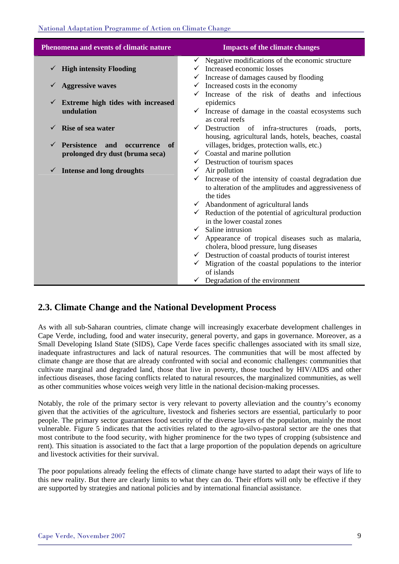| Phenomena and events of climatic nature                                          | <b>Impacts of the climate changes</b>                                                                                                                                                                                                                                                                                                                                                                                                                                                                                                                                                                                                                               |
|----------------------------------------------------------------------------------|---------------------------------------------------------------------------------------------------------------------------------------------------------------------------------------------------------------------------------------------------------------------------------------------------------------------------------------------------------------------------------------------------------------------------------------------------------------------------------------------------------------------------------------------------------------------------------------------------------------------------------------------------------------------|
| <b>High intensity Flooding</b>                                                   | $\checkmark$ Negative modifications of the economic structure<br>Increased economic losses<br>$\checkmark$ Increase of damages caused by flooding                                                                                                                                                                                                                                                                                                                                                                                                                                                                                                                   |
| <b>Aggressive waves</b>                                                          | Increased costs in the economy<br>$\checkmark$                                                                                                                                                                                                                                                                                                                                                                                                                                                                                                                                                                                                                      |
| Extreme high tides with increased<br>undulation                                  | Increase of the risk of deaths and infectious<br>epidemics<br>$\checkmark$ Increase of damage in the coastal ecosystems such<br>as coral reefs                                                                                                                                                                                                                                                                                                                                                                                                                                                                                                                      |
| <b>Rise of sea water</b>                                                         | $\checkmark$ Destruction of infra-structures<br>(roads,<br>ports.                                                                                                                                                                                                                                                                                                                                                                                                                                                                                                                                                                                                   |
| <b>Persistence</b><br>and<br>occurrence<br>of<br>prolonged dry dust (bruma seca) | housing, agricultural lands, hotels, beaches, coastal<br>villages, bridges, protection walls, etc.)<br>$\checkmark$ Coastal and marine pollution<br>$\checkmark$ Destruction of tourism spaces                                                                                                                                                                                                                                                                                                                                                                                                                                                                      |
| <b>Intense and long droughts</b><br>V                                            | $\checkmark$ Air pollution<br>$\checkmark$ Increase of the intensity of coastal degradation due<br>to alteration of the amplitudes and aggressiveness of<br>the tides<br>$\checkmark$ Abandonment of agricultural lands<br>$\checkmark$ Reduction of the potential of agricultural production<br>in the lower coastal zones<br>$\checkmark$ Saline intrusion<br>Appearance of tropical diseases such as malaria,<br>cholera, blood pressure, lung diseases<br>$\checkmark$ Destruction of coastal products of tourist interest<br>$\checkmark$ Migration of the coastal populations to the interior<br>of islands<br>Degradation of the environment<br>$\checkmark$ |

### **2.3. Climate Change and the National Development Process**

As with all sub-Saharan countries, climate change will increasingly exacerbate development challenges in Cape Verde, including, food and water insecurity, general poverty, and gaps in governance. Moreover, as a Small Developing Island State (SIDS), Cape Verde faces specific challenges associated with its small size, inadequate infrastructures and lack of natural resources. The communities that will be most affected by climate change are those that are already confronted with social and economic challenges: communities that cultivate marginal and degraded land, those that live in poverty, those touched by HIV/AIDS and other infectious diseases, those facing conflicts related to natural resources, the marginalized communities, as well as other communities whose voices weigh very little in the national decision-making processes.

Notably, the role of the primary sector is very relevant to poverty alleviation and the country's economy given that the activities of the agriculture, livestock and fisheries sectors are essential, particularly to poor people. The primary sector guarantees food security of the diverse layers of the population, mainly the most vulnerable. Figure 5 indicates that the activities related to the agro-silvo-pastoral sector are the ones that most contribute to the food security, with higher prominence for the two types of cropping (subsistence and rent). This situation is associated to the fact that a large proportion of the population depends on agriculture and livestock activities for their survival.

The poor populations already feeling the effects of climate change have started to adapt their ways of life to this new reality. But there are clearly limits to what they can do. Their efforts will only be effective if they are supported by strategies and national policies and by international financial assistance.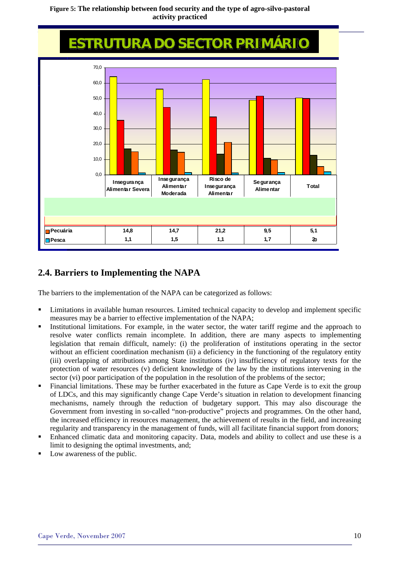### **Figure 5: The relationship between food security and the type of agro-silvo-pastoral activity practiced**

National Adaptation Programme of Action on Climate Change

## **ESTRUTURA DO SECTOR PRIMÁRIO**



### **2.4. Barriers to Implementing the NAPA**

The barriers to the implementation of the NAPA can be categorized as follows:

- Limitations in available human resources. Limited technical capacity to develop and implement specific measures may be a barrier to effective implementation of the NAPA;
- Institutional limitations. For example, in the water sector, the water tariff regime and the approach to resolve water conflicts remain incomplete. In addition, there are many aspects to implementing legislation that remain difficult, namely: (i) the proliferation of institutions operating in the sector without an efficient coordination mechanism (ii) a deficiency in the functioning of the regulatory entity (iii) overlapping of attributions among State institutions (iv) insufficiency of regulatory texts for the protection of water resources (v) deficient knowledge of the law by the institutions intervening in the sector (vi) poor participation of the population in the resolution of the problems of the sector;
- Financial limitations. These may be further exacerbated in the future as Cape Verde is to exit the group of LDCs, and this may significantly change Cape Verde's situation in relation to development financing mechanisms, namely through the reduction of budgetary support. This may also discourage the Government from investing in so-called "non-productive" projects and programmes. On the other hand, the increased efficiency in resources management, the achievement of results in the field, and increasing regularity and transparency in the management of funds, will all facilitate financial support from donors;
- Enhanced climatic data and monitoring capacity. Data, models and ability to collect and use these is a limit to designing the optimal investments, and;
- Low awareness of the public.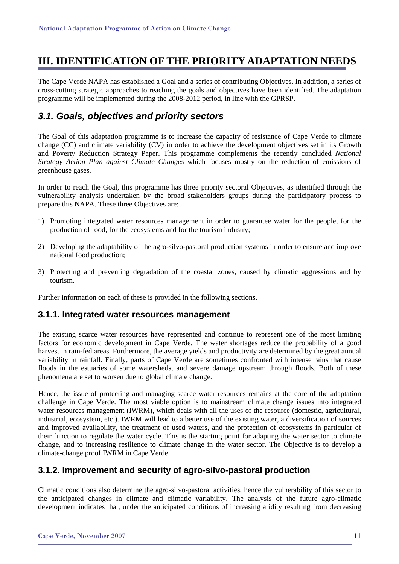### **III. IDENTIFICATION OF THE PRIORITY ADAPTATION NEEDS**

The Cape Verde NAPA has established a Goal and a series of contributing Objectives. In addition, a series of cross-cutting strategic approaches to reaching the goals and objectives have been identified. The adaptation programme will be implemented during the 2008-2012 period, in line with the GPRSP.

### *3.1. Goals, objectives and priority sectors*

The Goal of this adaptation programme is to increase the capacity of resistance of Cape Verde to climate change (CC) and climate variability (CV) in order to achieve the development objectives set in its Growth and Poverty Reduction Strategy Paper. This programme complements the recently concluded *National Strategy Action Plan against Climate Changes* which focuses mostly on the reduction of emissions of greenhouse gases.

In order to reach the Goal, this programme has three priority sectoral Objectives, as identified through the vulnerability analysis undertaken by the broad stakeholders groups during the participatory process to prepare this NAPA. These three Objectives are:

- 1) Promoting integrated water resources management in order to guarantee water for the people, for the production of food, for the ecosystems and for the tourism industry;
- 2) Developing the adaptability of the agro-silvo-pastoral production systems in order to ensure and improve national food production;
- 3) Protecting and preventing degradation of the coastal zones, caused by climatic aggressions and by tourism.

Further information on each of these is provided in the following sections.

### **3.1.1. Integrated water resources management**

The existing scarce water resources have represented and continue to represent one of the most limiting factors for economic development in Cape Verde. The water shortages reduce the probability of a good harvest in rain-fed areas. Furthermore, the average yields and productivity are determined by the great annual variability in rainfall. Finally, parts of Cape Verde are sometimes confronted with intense rains that cause floods in the estuaries of some watersheds, and severe damage upstream through floods. Both of these phenomena are set to worsen due to global climate change.

Hence, the issue of protecting and managing scarce water resources remains at the core of the adaptation challenge in Cape Verde. The most viable option is to mainstream climate change issues into integrated water resources management (IWRM), which deals with all the uses of the resource (domestic, agricultural, industrial, ecosystem, etc.). IWRM will lead to a better use of the existing water, a diversification of sources and improved availability, the treatment of used waters, and the protection of ecosystems in particular of their function to regulate the water cycle. This is the starting point for adapting the water sector to climate change, and to increasing resilience to climate change in the water sector. The Objective is to develop a climate-change proof IWRM in Cape Verde.

### **3.1.2. Improvement and security of agro-silvo-pastoral production**

Climatic conditions also determine the agro-silvo-pastoral activities, hence the vulnerability of this sector to the anticipated changes in climate and climatic variability. The analysis of the future agro-climatic development indicates that, under the anticipated conditions of increasing aridity resulting from decreasing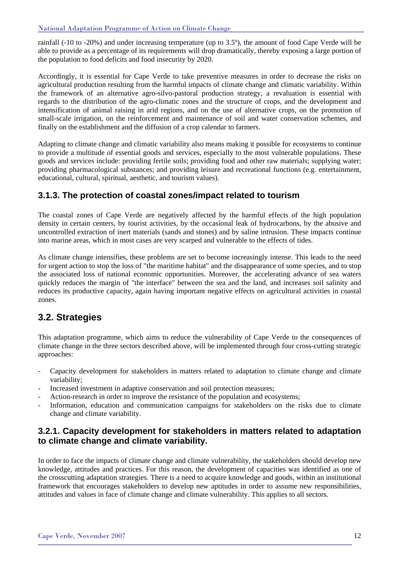rainfall (-10 to -20%) and under increasing temperature (up to 3.5º), the amount of food Cape Verde will be able to provide as a percentage of its requirements will drop dramatically, thereby exposing a large portion of the population to food deficits and food insecurity by 2020.

Accordingly, it is essential for Cape Verde to take preventive measures in order to decrease the risks on agricultural production resulting from the harmful impacts of climate change and climatic variability. Within the framework of an alternative agro-silvo-pastoral production strategy, a revaluation is essential with regards to the distribution of the agro-climatic zones and the structure of crops, and the development and intensification of animal raising in arid regions, and on the use of alternative crops, on the promotion of small-scale irrigation, on the reinforcement and maintenance of soil and water conservation schemes, and finally on the establishment and the diffusion of a crop calendar to farmers.

Adapting to climate change and climatic variability also means making it possible for ecosystems to continue to provide a multitude of essential goods and services, especially to the most vulnerable populations. These goods and services include: providing fertile soils; providing food and other raw materials; supplying water; providing pharmacological substances; and providing leisure and recreational functions (e.g. entertainment, educational, cultural, spiritual, aesthetic, and tourism values).

### **3.1.3. The protection of coastal zones/impact related to tourism**

The coastal zones of Cape Verde are negatively affected by the harmful effects of the high population density in certain centers, by tourist activities, by the occasional leak of hydrocarbons, by the abusive and uncontrolled extraction of inert materials (sands and stones) and by saline intrusion. These impacts continue into marine areas, which in most cases are very scarped and vulnerable to the effects of tides.

As climate change intensifies, these problems are set to become increasingly intense. This leads to the need for urgent action to stop the loss of "the maritime habitat" and the disappearance of some species, and to stop the associated loss of national economic opportunities. Moreover, the accelerating advance of sea waters quickly reduces the margin of "the interface" between the sea and the land, and increases soil salinity and reduces its productive capacity, again having important negative effects on agricultural activities in coastal zones.

### **3.2. Strategies**

This adaptation programme, which aims to reduce the vulnerability of Cape Verde to the consequences of climate change in the three sectors described above, will be implemented through four cross-cutting strategic approaches:

- Capacity development for stakeholders in matters related to adaptation to climate change and climate variability;
- Increased investment in adaptive conservation and soil protection measures;
- Action-research in order to improve the resistance of the population and ecosystems;
- Information, education and communication campaigns for stakeholders on the risks due to climate change and climate variability.

### **3.2.1. Capacity development for stakeholders in matters related to adaptation to climate change and climate variability.**

In order to face the impacts of climate change and climate vulnerability, the stakeholders should develop new knowledge, attitudes and practices. For this reason, the development of capacities was identified as one of the crosscutting adaptation strategies. There is a need to acquire knowledge and goods, within an institutional framework that encourages stakeholders to develop new aptitudes in order to assume new responsibilities, attitudes and values in face of climate change and climate vulnerability. This applies to all sectors.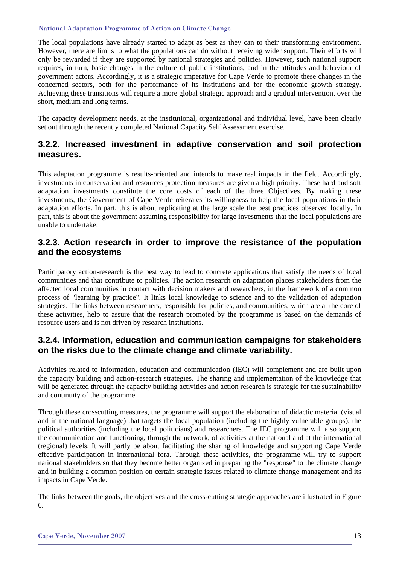#### National Adaptation Programme of Action on Climate Change

The local populations have already started to adapt as best as they can to their transforming environment. However, there are limits to what the populations can do without receiving wider support. Their efforts will only be rewarded if they are supported by national strategies and policies. However, such national support requires, in turn, basic changes in the culture of public institutions, and in the attitudes and behaviour of government actors. Accordingly, it is a strategic imperative for Cape Verde to promote these changes in the concerned sectors, both for the performance of its institutions and for the economic growth strategy. Achieving these transitions will require a more global strategic approach and a gradual intervention, over the short, medium and long terms.

The capacity development needs, at the institutional, organizational and individual level, have been clearly set out through the recently completed National Capacity Self Assessment exercise.

### **3.2.2. Increased investment in adaptive conservation and soil protection measures.**

This adaptation programme is results-oriented and intends to make real impacts in the field. Accordingly, investments in conservation and resources protection measures are given a high priority. These hard and soft adaptation investments constitute the core costs of each of the three Objectives. By making these investments, the Government of Cape Verde reiterates its willingness to help the local populations in their adaptation efforts. In part, this is about replicating at the large scale the best practices observed locally. In part, this is about the government assuming responsibility for large investments that the local populations are unable to undertake.

### **3.2.3. Action research in order to improve the resistance of the population and the ecosystems**

Participatory action-research is the best way to lead to concrete applications that satisfy the needs of local communities and that contribute to policies. The action research on adaptation places stakeholders from the affected local communities in contact with decision makers and researchers, in the framework of a common process of "learning by practice". It links local knowledge to science and to the validation of adaptation strategies. The links between researchers, responsible for policies, and communities, which are at the core of these activities, help to assure that the research promoted by the programme is based on the demands of resource users and is not driven by research institutions.

### **3.2.4. Information, education and communication campaigns for stakeholders on the risks due to the climate change and climate variability.**

Activities related to information, education and communication (IEC) will complement and are built upon the capacity building and action-research strategies. The sharing and implementation of the knowledge that will be generated through the capacity building activities and action research is strategic for the sustainability and continuity of the programme.

Through these crosscutting measures, the programme will support the elaboration of didactic material (visual and in the national language) that targets the local population (including the highly vulnerable groups), the political authorities (including the local politicians) and researchers. The IEC programme will also support the communication and functioning, through the network, of activities at the national and at the international (regional) levels. It will partly be about facilitating the sharing of knowledge and supporting Cape Verde effective participation in international fora. Through these activities, the programme will try to support national stakeholders so that they become better organized in preparing the "response" to the climate change and in building a common position on certain strategic issues related to climate change management and its impacts in Cape Verde.

The links between the goals, the objectives and the cross-cutting strategic approaches are illustrated in Figure 6.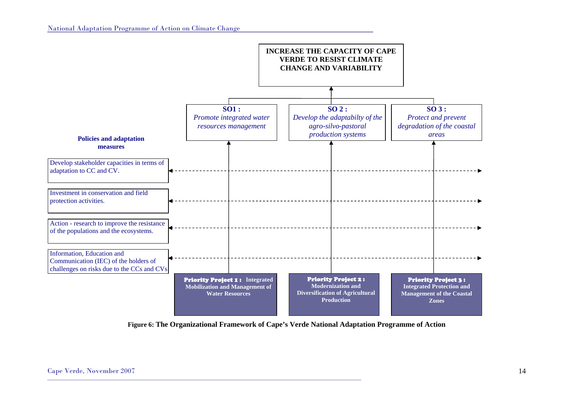

**Figure 6: The Organizational Framework of Cape's Verde National Adaptation Programme of Action**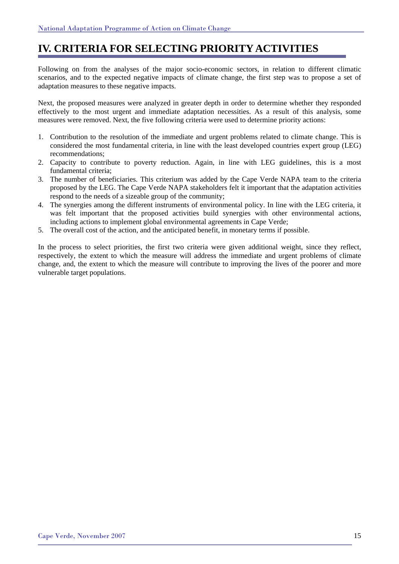### **IV. CRITERIA FOR SELECTING PRIORITY ACTIVITIES**

Following on from the analyses of the major socio-economic sectors, in relation to different climatic scenarios, and to the expected negative impacts of climate change, the first step was to propose a set of adaptation measures to these negative impacts.

Next, the proposed measures were analyzed in greater depth in order to determine whether they responded effectively to the most urgent and immediate adaptation necessities. As a result of this analysis, some measures were removed. Next, the five following criteria were used to determine priority actions:

- 1. Contribution to the resolution of the immediate and urgent problems related to climate change. This is considered the most fundamental criteria, in line with the least developed countries expert group (LEG) recommendations;
- 2. Capacity to contribute to poverty reduction. Again, in line with LEG guidelines, this is a most fundamental criteria;
- 3. The number of beneficiaries. This criterium was added by the Cape Verde NAPA team to the criteria proposed by the LEG. The Cape Verde NAPA stakeholders felt it important that the adaptation activities respond to the needs of a sizeable group of the community;
- 4. The synergies among the different instruments of environmental policy. In line with the LEG criteria, it was felt important that the proposed activities build synergies with other environmental actions, including actions to implement global environmental agreements in Cape Verde;
- 5. The overall cost of the action, and the anticipated benefit, in monetary terms if possible.

In the process to select priorities, the first two criteria were given additional weight, since they reflect, respectively, the extent to which the measure will address the immediate and urgent problems of climate change, and, the extent to which the measure will contribute to improving the lives of the poorer and more vulnerable target populations.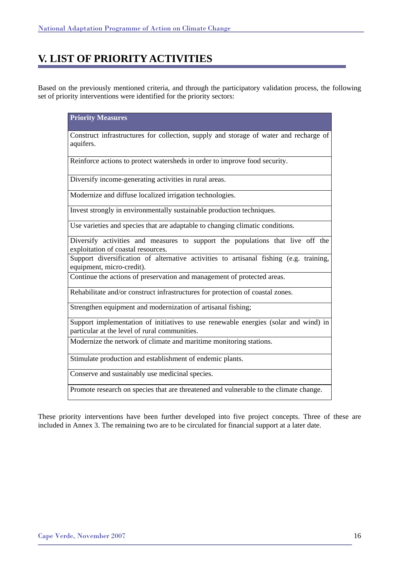### **V. LIST OF PRIORITY ACTIVITIES**

Based on the previously mentioned criteria, and through the participatory validation process, the following set of priority interventions were identified for the priority sectors:

| <b>Priority Measures</b>                                                                                                             |
|--------------------------------------------------------------------------------------------------------------------------------------|
| Construct infrastructures for collection, supply and storage of water and recharge of<br>aquifers.                                   |
| Reinforce actions to protect watersheds in order to improve food security.                                                           |
| Diversify income-generating activities in rural areas.                                                                               |
| Modernize and diffuse localized irrigation technologies.                                                                             |
| Invest strongly in environmentally sustainable production techniques.                                                                |
| Use varieties and species that are adaptable to changing climatic conditions.                                                        |
| Diversify activities and measures to support the populations that live off the<br>exploitation of coastal resources.                 |
| Support diversification of alternative activities to artisanal fishing (e.g. training,<br>equipment, micro-credit).                  |
| Continue the actions of preservation and management of protected areas.                                                              |
| Rehabilitate and/or construct infrastructures for protection of coastal zones.                                                       |
| Strengthen equipment and modernization of artisanal fishing;                                                                         |
| Support implementation of initiatives to use renewable energies (solar and wind) in<br>particular at the level of rural communities. |
| Modernize the network of climate and maritime monitoring stations.                                                                   |
| Stimulate production and establishment of endemic plants.                                                                            |
| Conserve and sustainably use medicinal species.                                                                                      |
| Promote research on species that are threatened and vulnerable to the climate change.                                                |

These priority interventions have been further developed into five project concepts. Three of these are included in Annex 3. The remaining two are to be circulated for financial support at a later date.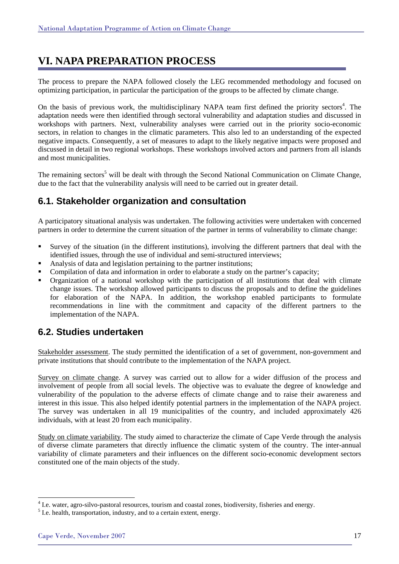### **VI. NAPA PREPARATION PROCESS**

The process to prepare the NAPA followed closely the LEG recommended methodology and focused on optimizing participation, in particular the participation of the groups to be affected by climate change.

On the basis of previous work, the multidisciplinary NAPA team first defined the priority sectors<sup>4</sup>. The adaptation needs were then identified through sectoral vulnerability and adaptation studies and discussed in workshops with partners. Next, vulnerability analyses were carried out in the priority socio-economic sectors, in relation to changes in the climatic parameters. This also led to an understanding of the expected negative impacts. Consequently, a set of measures to adapt to the likely negative impacts were proposed and discussed in detail in two regional workshops. These workshops involved actors and partners from all islands and most municipalities.

The remaining sectors<sup>5</sup> will be dealt with through the Second National Communication on Climate Change, due to the fact that the vulnerability analysis will need to be carried out in greater detail.

### **6.1. Stakeholder organization and consultation**

A participatory situational analysis was undertaken. The following activities were undertaken with concerned partners in order to determine the current situation of the partner in terms of vulnerability to climate change:

- Survey of the situation (in the different institutions), involving the different partners that deal with the identified issues, through the use of individual and semi-structured interviews;
- Analysis of data and legislation pertaining to the partner institutions;
- Compilation of data and information in order to elaborate a study on the partner's capacity;
- Organization of a national workshop with the participation of all institutions that deal with climate change issues. The workshop allowed participants to discuss the proposals and to define the guidelines for elaboration of the NAPA. In addition, the workshop enabled participants to formulate recommendations in line with the commitment and capacity of the different partners to the implementation of the NAPA.

### **6.2. Studies undertaken**

Stakeholder assessment. The study permitted the identification of a set of government, non-government and private institutions that should contribute to the implementation of the NAPA project.

Survey on climate change. A survey was carried out to allow for a wider diffusion of the process and involvement of people from all social levels. The objective was to evaluate the degree of knowledge and vulnerability of the population to the adverse effects of climate change and to raise their awareness and interest in this issue. This also helped identify potential partners in the implementation of the NAPA project. The survey was undertaken in all 19 municipalities of the country, and included approximately 426 individuals, with at least 20 from each municipality.

Study on climate variability. The study aimed to characterize the climate of Cape Verde through the analysis of diverse climate parameters that directly influence the climatic system of the country. The inter-annual variability of climate parameters and their influences on the different socio-economic development sectors constituted one of the main objects of the study.

l

<sup>&</sup>lt;sup>4</sup> I.e. water, agro-silvo-pastoral resources, tourism and coastal zones, biodiversity, fisheries and energy.

<sup>&</sup>lt;sup>5</sup> I.e. health, transportation, industry, and to a certain extent, energy.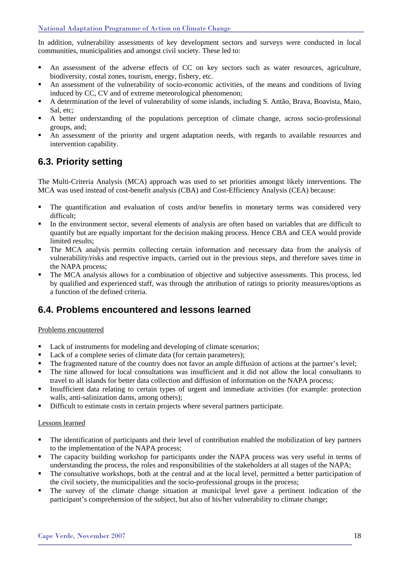In addition, vulnerability assessments of key development sectors and surveys were conducted in local communities, municipalities and amongst civil society. These led to:

- An assessment of the adverse effects of CC on key sectors such as water resources, agriculture, biodiversity, costal zones, tourism, energy, fishery, etc.
- An assessment of the vulnerability of socio-economic activities, of the means and conditions of living induced by CC, CV and of extreme meteorological phenomenon;
- A determination of the level of vulnerability of some islands, including S. Antão, Brava, Boavista, Maio, Sal, etc;
- A better understanding of the populations perception of climate change, across socio-professional groups, and;
- An assessment of the priority and urgent adaptation needs, with regards to available resources and intervention capability.

### **6.3. Priority setting**

The Multi-Criteria Analysis (MCA) approach was used to set priorities amongst likely interventions. The MCA was used instead of cost-benefit analysis (CBA) and Cost-Efficiency Analysis (CEA) because:

- The quantification and evaluation of costs and/or benefits in monetary terms was considered very difficult;
- In the environment sector, several elements of analysis are often based on variables that are difficult to quantify but are equally important for the decision making process. Hence CBA and CEA would provide limited results;
- The MCA analysis permits collecting certain information and necessary data from the analysis of vulnerability/risks and respective impacts, carried out in the previous steps, and therefore saves time in the NAPA process;
- The MCA analysis allows for a combination of objective and subjective assessments. This process, led by qualified and experienced staff, was through the attribution of ratings to priority measures/options as a function of the defined criteria.

### **6.4. Problems encountered and lessons learned**

### Problems encountered

- Lack of instruments for modeling and developing of climate scenarios;
- Lack of a complete series of climate data (for certain parameters);
- The fragmented nature of the country does not favor an ample diffusion of actions at the partner's level;
- The time allowed for local consultations was insufficient and it did not allow the local consultants to travel to all islands for better data collection and diffusion of information on the NAPA process;
- Insufficient data relating to certain types of urgent and immediate activities (for example: protection walls, anti-salinization dams, among others);
- Difficult to estimate costs in certain projects where several partners participate.

### Lessons learned

- The identification of participants and their level of contribution enabled the mobilization of key partners to the implementation of the NAPA process;
- The capacity building workshop for participants under the NAPA process was very useful in terms of understanding the process, the roles and responsibilities of the stakeholders at all stages of the NAPA;
- The consultative workshops, both at the central and at the local level, permitted a better participation of the civil society, the municipalities and the socio-professional groups in the process;
- The survey of the climate change situation at municipal level gave a pertinent indication of the participant's comprehension of the subject, but also of his/her vulnerability to climate change;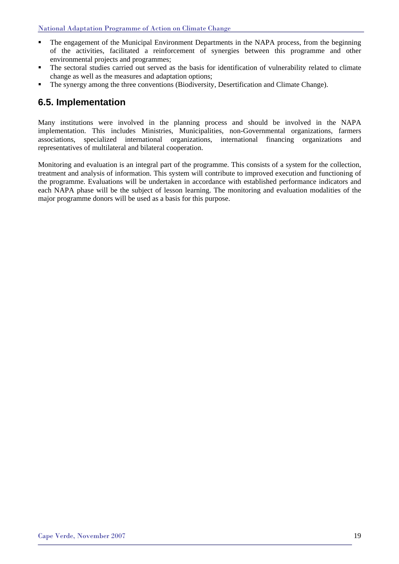- The engagement of the Municipal Environment Departments in the NAPA process, from the beginning of the activities, facilitated a reinforcement of synergies between this programme and other environmental projects and programmes;
- The sectoral studies carried out served as the basis for identification of vulnerability related to climate change as well as the measures and adaptation options;
- The synergy among the three conventions (Biodiversity, Desertification and Climate Change).

### **6.5. Implementation**

Many institutions were involved in the planning process and should be involved in the NAPA implementation. This includes Ministries, Municipalities, non-Governmental organizations, farmers associations, specialized international organizations, international financing organizations and representatives of multilateral and bilateral cooperation.

Monitoring and evaluation is an integral part of the programme. This consists of a system for the collection, treatment and analysis of information. This system will contribute to improved execution and functioning of the programme. Evaluations will be undertaken in accordance with established performance indicators and each NAPA phase will be the subject of lesson learning. The monitoring and evaluation modalities of the major programme donors will be used as a basis for this purpose.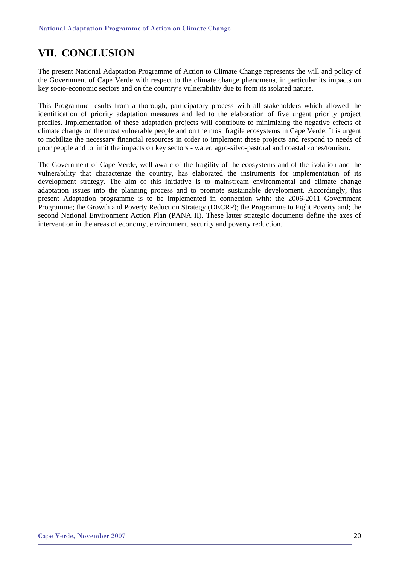### **VII. CONCLUSION**

The present National Adaptation Programme of Action to Climate Change represents the will and policy of the Government of Cape Verde with respect to the climate change phenomena, in particular its impacts on key socio-economic sectors and on the country's vulnerability due to from its isolated nature.

This Programme results from a thorough, participatory process with all stakeholders which allowed the identification of priority adaptation measures and led to the elaboration of five urgent priority project profiles. Implementation of these adaptation projects will contribute to minimizing the negative effects of climate change on the most vulnerable people and on the most fragile ecosystems in Cape Verde. It is urgent to mobilize the necessary financial resources in order to implement these projects and respond to needs of poor people and to limit the impacts on key sectors - water, agro-silvo-pastoral and coastal zones/tourism.

The Government of Cape Verde, well aware of the fragility of the ecosystems and of the isolation and the vulnerability that characterize the country, has elaborated the instruments for implementation of its development strategy. The aim of this initiative is to mainstream environmental and climate change adaptation issues into the planning process and to promote sustainable development. Accordingly, this present Adaptation programme is to be implemented in connection with: the 2006-2011 Government Programme; the Growth and Poverty Reduction Strategy (DECRP); the Programme to Fight Poverty and; the second National Environment Action Plan (PANA II). These latter strategic documents define the axes of intervention in the areas of economy, environment, security and poverty reduction.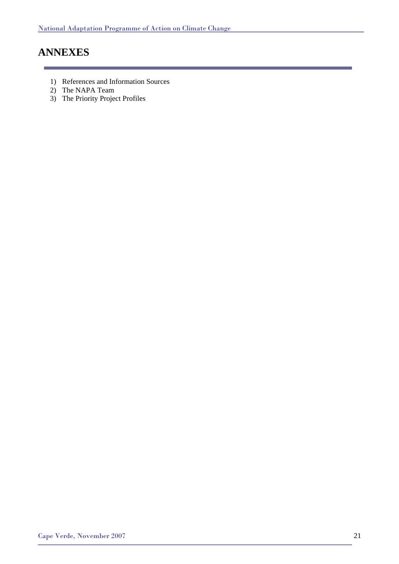### **ANNEXES**

- 1) References and Information Sources
- 2) The NAPA Team
- 3) The Priority Project Profiles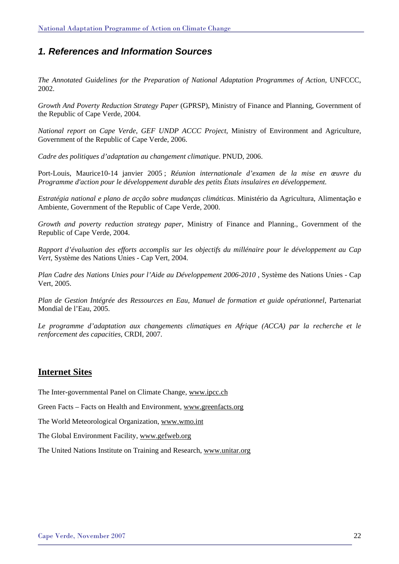### *1. References and Information Sources*

*The Annotated Guidelines for the Preparation of National Adaptation Programmes of Action,* UNFCCC, 2002.

*Growth And Poverty Reduction Strategy Paper* (GPRSP), Ministry of Finance and Planning, Government of the Republic of Cape Verde, 2004.

*National report on Cape Verde, GEF UNDP ACCC Project*, Ministry of Environment and Agriculture, Government of the Republic of Cape Verde, 2006.

*Cadre des politiques d'adaptation au changement climatique*. PNUD, 2006.

Port-Louis, Maurice10-14 janvier 2005 ; *Réunion internationale d'examen de la mise en œuvre du Programme d'action pour le développement durable des petits États insulaires en développement.*

*Estratégia national e plano de acção sobre mudanças climáticas*. Ministério da Agricultura, Alimentação e Ambiente, Government of the Republic of Cape Verde, 2000.

*Growth and poverty reduction strategy paper*, Ministry of Finance and Planning., Government of the Republic of Cape Verde, 2004.

*Rapport d'évaluation des efforts accomplis sur les objectifs du millénaire pour le développement au Cap Vert,* Système des Nations Unies - Cap Vert, 2004.

*Plan Cadre des Nations Unies pour l'Aide au Développement 2006-2010* , Système des Nations Unies - Cap Vert, 2005.

*Plan de Gestion Intégrée des Ressources en Eau, Manuel de formation et guide opérationnel*, Partenariat Mondial de l'Eau, 2005.

Le programme d'adaptation aux changements climatiques en Afrique (ACCA) par la recherche et le *renforcement des capacities,* CRDI, 2007.

### **Internet Sites**

The Inter-governmental Panel on Climate Change, www.ipcc.ch

Green Facts – Facts on Health and Environment, www.greenfacts.org

The World Meteorological Organization, www.wmo.int

The Global Environment Facility, www.gefweb.org

The United Nations Institute on Training and Research, www.unitar.org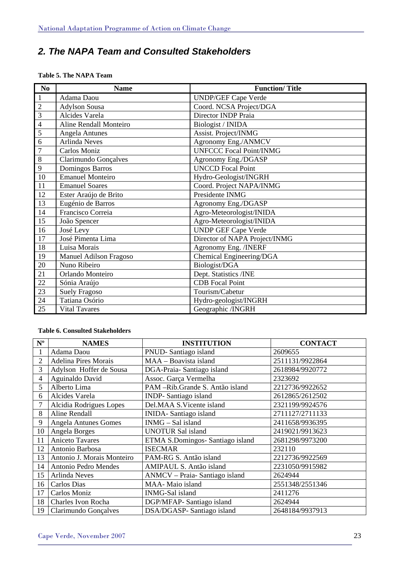### *2. The NAPA Team and Consulted Stakeholders*

| N <sub>0</sub> | <b>Name</b>             | <b>Function/Title</b>          |  |
|----------------|-------------------------|--------------------------------|--|
| $\mathbf{1}$   | Adama Daou              | <b>UNDP/GEF Cape Verde</b>     |  |
| $\overline{2}$ | Adylson Sousa           | Coord. NCSA Project/DGA        |  |
| $\overline{3}$ | Alcides Varela          | Director INDP Praia            |  |
| $\overline{4}$ | Aline Rendall Monteiro  | Biologist / INIDA              |  |
| $\overline{5}$ | <b>Angela Antunes</b>   | Assist. Project/INMG           |  |
| 6              | <b>Arlinda Neves</b>    | Agronomy Eng./ANMCV            |  |
| $\overline{7}$ | Carlos Moniz            | <b>UNFCCC Focal Point/INMG</b> |  |
| 8              | Clarimundo Gonçalves    | Agronomy Eng./DGASP            |  |
| $\overline{9}$ | Domingos Barros         | <b>UNCCD</b> Focal Point       |  |
| 10             | <b>Emanuel Monteiro</b> | Hydro-Geologist/INGRH          |  |
| 11             | <b>Emanuel Soares</b>   | Coord. Project NAPA/INMG       |  |
| 12             | Ester Araújo de Brito   | Presidente INMG                |  |
| 13             | Eugénio de Barros       | Agronomy Eng./DGASP            |  |
| 14             | Francisco Correia       | Agro-Meteorologist/INIDA       |  |
| 15             | João Spencer            | Agro-Meteorologist/INIDA       |  |
| 16             | José Levy               | <b>UNDP GEF Cape Verde</b>     |  |
| 17             | José Pimenta Lima       | Director of NAPA Project/INMG  |  |
| 18             | Luisa Morais            | Agronomy Eng. /INERF           |  |
| 19             | Manuel Adilson Fragoso  | Chemical Engineering/DGA       |  |
| 20             | Nuno Ribeiro            | Biologist/DGA                  |  |
| 21             | Orlando Monteiro        | Dept. Statistics /INE          |  |
| 22             | Sónia Araújo            | <b>CDB</b> Focal Point         |  |
| 23             | <b>Suely Fragoso</b>    | Tourism/Cabetur                |  |
| 24             | Tatiana Osório          | Hydro-geologist/INGRH          |  |
| 25             | <b>Vital Tavares</b>    | Geographic /INGRH              |  |

### **Table 5. The NAPA Team**

#### **Table 6. Consulted Stakeholders**

| $N^{\mathrm{o}}$ | <b>NAMES</b>                | <b>INSTITUTION</b>               | <b>CONTACT</b>  |
|------------------|-----------------------------|----------------------------------|-----------------|
| 1                | Adama Daou                  | PNUD-Santiago island             | 2609655         |
| $\overline{2}$   | <b>Adelina Pires Morais</b> | MAA - Boavista island            | 2511131/9922864 |
| 3                | Adylson Hoffer de Sousa     | DGA-Praia- Santiago island       | 2618984/9920772 |
| $\overline{4}$   | Aguinaldo David             | Assoc. Garça Vermelha            | 2323692         |
| 5                | Alberto Lima                | PAM-Rib.Grande S. Antão island   | 2212736/9922652 |
| 6                | Alcides Varela              | <b>INDP-Santiago island</b>      | 2612865/2612502 |
|                  | Alcidia Rodrigues Lopes     | Del.MAA S.Vicente island         | 2321199/9924576 |
| 8                | Aline Rendall               | <b>INIDA-Santiago island</b>     | 2711127/2711133 |
| 9                | <b>Angela Antunes Gomes</b> | INMG - Sal island                | 2411658/9936395 |
| 10               | Angela Borges               | <b>UNOTUR Sal island</b>         | 2419021/9913623 |
| 11               | Aniceto Tavares             | ETMA S.Domingos- Santiago island | 2681298/9973200 |
| 12               | Antonio Barbosa             | <b>ISECMAR</b>                   | 232110          |
| 13               | Antonio J. Morais Monteiro  | PAM-RG S. Antão island           | 2212736/9922569 |
| 14               | Antonio Pedro Mendes        | AMIPAUL S. Antão island          | 2231050/9915982 |
| 15               | <b>Arlinda Neves</b>        | ANMCV - Praia- Santiago island   | 2624944         |
| 16               | Carlos Dias                 | MAA- Maio island                 | 2551348/2551346 |
| 17               | Carlos Moniz                | <b>INMG-Sal</b> island           | 2411276         |
| 18               | <b>Charles Ivon Rocha</b>   | DGP/MFAP- Santiago island        | 2624944         |
| 19               | Clarimundo Gonçalves        | DSA/DGASP-Santiago island        | 2648184/9937913 |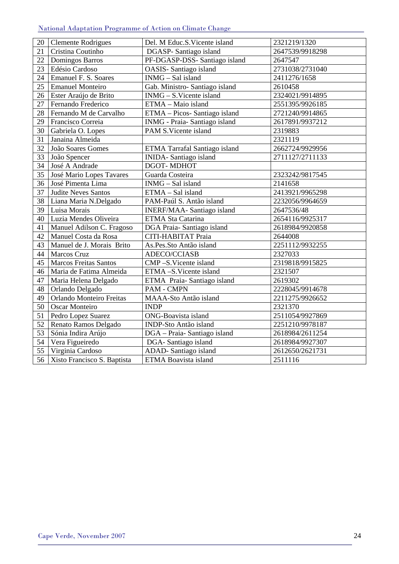### National Adaptation Programme of Action on Climate Change

| 20 | <b>Clemente Rodrigues</b>    | Del. M Educ.S. Vicente island  | 2321219/1320    |
|----|------------------------------|--------------------------------|-----------------|
| 21 | Cristina Coutinho            | DGASP- Santiago island         | 2647539/9918298 |
| 22 | Domingos Barros              | PF-DGASP-DSS- Santiago island  | 2647547         |
| 23 | Edésio Cardoso               | OASIS- Santiago island         | 2731038/2731040 |
| 24 | Emanuel F. S. Soares         | INMG - Sal island              | 2411276/1658    |
| 25 | <b>Emanuel Monteiro</b>      | Gab. Ministro- Santiago island | 2610458         |
| 26 | Ester Araújo de Brito        | INMG - S. Vicente island       | 2324021/9914895 |
| 27 | Fernando Frederico           | ETMA - Maio island             | 2551395/9926185 |
| 28 | Fernando M de Carvalho       | ETMA - Picos- Santiago island  | 2721240/9914865 |
| 29 | Francisco Correia            | INMG - Praia- Santiago island  | 2617891/9937212 |
| 30 | Gabriela O. Lopes            | PAM S.Vicente island           | 2319883         |
| 31 | Janaina Almeida              |                                | 2321119         |
| 32 | João Soares Gomes            | ETMA Tarrafal Santiago island  | 2662724/9929956 |
| 33 | João Spencer                 | <b>INIDA-Santiago</b> island   | 2711127/2711133 |
| 34 | José A Andrade               | DGOT-MDHOT                     |                 |
| 35 | José Mario Lopes Tavares     | Guarda Costeira                | 2323242/9817545 |
| 36 | José Pimenta Lima            | INMG - Sal island              | 2141658         |
| 37 | Judite Neves Santos          | ETMA - Sal island              | 2413921/9965298 |
| 38 | Liana Maria N.Delgado        | PAM-Paúl S. Antão island       | 2232056/9964659 |
| 39 | Luisa Morais                 | INERF/MAA- Santiago island     | 2647536/48      |
| 40 | Luzia Mendes Oliveira        | ETMA Sta Catarina              | 2654116/9925317 |
| 41 | Manuel Adilson C. Fragoso    | DGA Praia-Santiago island      | 2618984/9920858 |
| 42 | Manuel Costa da Rosa         | CITI-HABITAT Praia             | 2644008         |
| 43 | Manuel de J. Morais Brito    | As.Pes.Sto Antão island        | 2251112/9932255 |
| 44 | Marcos Cruz                  | ADECO/CCIASB                   | 2327033         |
| 45 | <b>Marcos Freitas Santos</b> | CMP-S.Vicente island           | 2319818/9915825 |
| 46 | Maria de Fatima Almeida      | ETMA-S.Vicente island          | 2321507         |
| 47 | Maria Helena Delgado         | ETMA Praia-Santiago island     | 2619302         |
| 48 | Orlando Delgado              | PAM - CMPN                     | 2228045/9914678 |
| 49 | Orlando Monteiro Freitas     | MAAA-Sto Antão island          | 2211275/9926652 |
| 50 | Oscar Monteiro               | <b>INDP</b>                    | 2321370         |
| 51 | Pedro Lopez Suarez           | ONG-Boavista island            | 2511054/9927869 |
| 52 | Renato Ramos Delgado         | <b>INDP-Sto Antão island</b>   | 2251210/9978187 |
| 53 | Sónia Indira Arújo           | DGA - Praia- Santiago island   | 2618984/2611254 |
| 54 | Vera Figueiredo              | DGA-Santiago island            | 2618984/9927307 |
| 55 | Virginia Cardoso             | ADAD-Santiago island           | 2612650/2621731 |
| 56 | Xisto Francisco S. Baptista  | <b>ETMA Boavista island</b>    | 2511116         |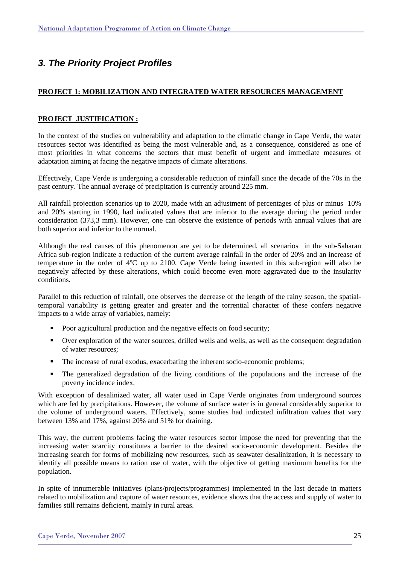### *3. The Priority Project Profiles*

### **PROJECT 1: MOBILIZATION AND INTEGRATED WATER RESOURCES MANAGEMENT**

### **PROJECT JUSTIFICATION :**

In the context of the studies on vulnerability and adaptation to the climatic change in Cape Verde, the water resources sector was identified as being the most vulnerable and, as a consequence, considered as one of most priorities in what concerns the sectors that must benefit of urgent and immediate measures of adaptation aiming at facing the negative impacts of climate alterations.

Effectively, Cape Verde is undergoing a considerable reduction of rainfall since the decade of the 70s in the past century. The annual average of precipitation is currently around 225 mm.

All rainfall projection scenarios up to 2020, made with an adjustment of percentages of plus or minus 10% and 20% starting in 1990, had indicated values that are inferior to the average during the period under consideration (373,3 mm). However, one can observe the existence of periods with annual values that are both superior and inferior to the normal.

Although the real causes of this phenomenon are yet to be determined, all scenarios in the sub-Saharan Africa sub-region indicate a reduction of the current average rainfall in the order of 20% and an increase of temperature in the order of 4ºC up to 2100. Cape Verde being inserted in this sub-region will also be negatively affected by these alterations, which could become even more aggravated due to the insularity conditions.

Parallel to this reduction of rainfall, one observes the decrease of the length of the rainy season, the spatialtemporal variability is getting greater and greater and the torrential character of these confers negative impacts to a wide array of variables, namely:

- Poor agricultural production and the negative effects on food security;
- Over exploration of the water sources, drilled wells and wells, as well as the consequent degradation of water resources;
- The increase of rural exodus, exacerbating the inherent socio-economic problems;
- The generalized degradation of the living conditions of the populations and the increase of the poverty incidence index.

With exception of desalinized water, all water used in Cape Verde originates from underground sources which are fed by precipitations. However, the volume of surface water is in general considerably superior to the volume of underground waters. Effectively, some studies had indicated infiltration values that vary between 13% and 17%, against 20% and 51% for draining.

This way, the current problems facing the water resources sector impose the need for preventing that the increasing water scarcity constitutes a barrier to the desired socio-economic development. Besides the increasing search for forms of mobilizing new resources, such as seawater desalinization, it is necessary to identify all possible means to ration use of water, with the objective of getting maximum benefits for the population.

In spite of innumerable initiatives (plans/projects/programmes) implemented in the last decade in matters related to mobilization and capture of water resources, evidence shows that the access and supply of water to families still remains deficient, mainly in rural areas.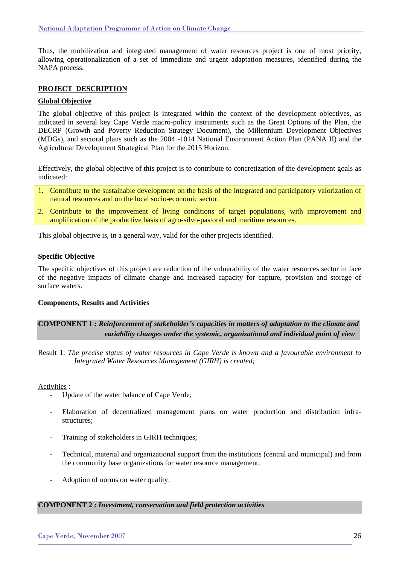Thus, the mobilization and integrated management of water resources project is one of most priority, allowing operationalization of a set of immediate and urgent adaptation measures, identified during the NAPA process.

### **PROJECT DESCRIPTION**

### **Global Objective**

The global objective of this project is integrated within the context of the development objectives, as indicated in several key Cape Verde macro-policy instruments such as the Great Options of the Plan, the DECRP (Growth and Poverty Reduction Strategy Document), the Millennium Development Objectives (MDGs), and sectoral plans such as the 2004 -1014 National Environment Action Plan (PANA II) and the Agricultural Development Strategical Plan for the 2015 Horizon.

Effectively, the global objective of this project is to contribute to concretization of the development goals as indicated:

- 1. Contribute to the sustainable development on the basis of the integrated and participatory valorization of natural resources and on the local socio-economic sector.
- 2. Contribute to the improvement of living conditions of target populations, with improvement and amplification of the productive basis of agro-silvo-pastoral and maritime resources.

This global objective is, in a general way, valid for the other projects identified.

### **Specific Objective**

The specific objectives of this project are reduction of the vulnerability of the water resources sector in face of the negative impacts of climate change and increased capacity for capture, provision and storage of surface waters.

#### **Components, Results and Activities**

### **COMPONENT 1** *: Reinforcement of stakeholder's capacities in matters of adaptation to the climate and variability changes under the systemic, organizational and individual point of view*

Result 1: *The precise status of water resources in Cape Verde is known and a favourable environment to Integrated Water Resources Management (GIRH) is created;* 

Activities :

- Update of the water balance of Cape Verde;
- Elaboration of decentralized management plans on water production and distribution infrastructures;
- Training of stakeholders in GIRH techniques;
- Technical, material and organizational support from the institutions (central and municipal) and from the community base organizations for water resource management;
- Adoption of norms on water quality.

#### **COMPONENT 2 :** *Investment, conservation and field protection activities*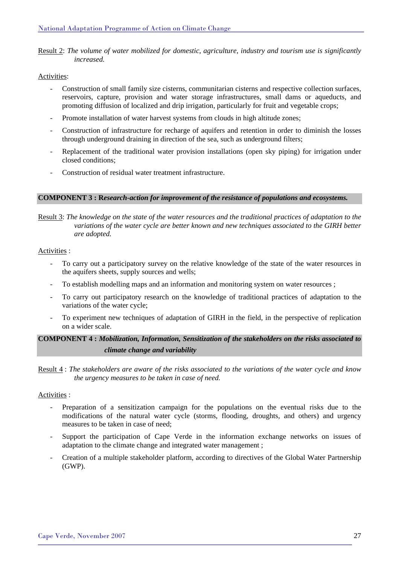Result 2: *The volume of water mobilized for domestic, agriculture, industry and tourism use is significantly increased.* 

### Activities:

- Construction of small family size cisterns, communitarian cisterns and respective collection surfaces, reservoirs, capture, provision and water storage infrastructures, small dams or aqueducts, and promoting diffusion of localized and drip irrigation, particularly for fruit and vegetable crops;
- Promote installation of water harvest systems from clouds in high altitude zones;
- Construction of infrastructure for recharge of aquifers and retention in order to diminish the losses through underground draining in direction of the sea, such as underground filters;
- Replacement of the traditional water provision installations (open sky piping) for irrigation under closed conditions;
- Construction of residual water treatment infrastructure.

#### **COMPONENT 3 : R***esearch-action for improvement of the resistance of populations and ecosystems.*

Result 3: *The knowledge on the state of the water resources and the traditional practices of adaptation to the variations of the water cycle are better known and new techniques associated to the GIRH better are adopted.* 

### Activities :

- To carry out a participatory survey on the relative knowledge of the state of the water resources in the aquifers sheets, supply sources and wells;
- To establish modelling maps and an information and monitoring system on water resources;
- To carry out participatory research on the knowledge of traditional practices of adaptation to the variations of the water cycle;
- To experiment new techniques of adaptation of GIRH in the field, in the perspective of replication on a wider scale.

**COMPONENT 4 :** *Mobilization, Information, Sensitization of the stakeholders on the risks associated to climate change and variability* 

Result 4 : *The stakeholders are aware of the risks associated to the variations of the water cycle and know the urgency measures to be taken in case of need.* 

#### Activities :

- Preparation of a sensitization campaign for the populations on the eventual risks due to the modifications of the natural water cycle (storms, flooding, droughts, and others) and urgency measures to be taken in case of need;
- Support the participation of Cape Verde in the information exchange networks on issues of adaptation to the climate change and integrated water management ;
- Creation of a multiple stakeholder platform, according to directives of the Global Water Partnership (GWP).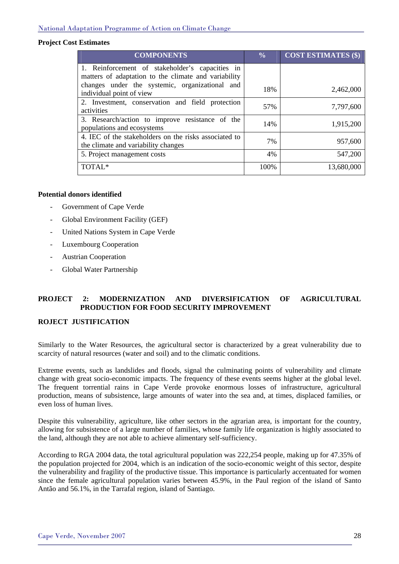### **Project Cost Estimates**

| <b>COMPONENTS</b>                                                                                       | $\frac{0}{0}$ | <b>COST ESTIMATES (\$)</b> |
|---------------------------------------------------------------------------------------------------------|---------------|----------------------------|
| 1. Reinforcement of stakeholder's capacities in<br>matters of adaptation to the climate and variability |               |                            |
| changes under the systemic, organizational and                                                          |               |                            |
| individual point of view                                                                                | 18%           | 2,462,000                  |
| 2. Investment, conservation and field protection<br>activities                                          | 57%           | 7,797,600                  |
| 3. Research/action to improve resistance of the<br>populations and ecosystems                           | 14%           | 1,915,200                  |
| 4. IEC of the stakeholders on the risks associated to<br>the climate and variability changes            | 7%            | 957,600                    |
| 5. Project management costs                                                                             | 4%            | 547,200                    |
| TOTAL <sup>*</sup>                                                                                      | 100%          | 13,680,000                 |

#### **Potential donors identified**

- Government of Cape Verde
- Global Environment Facility (GEF)
- United Nations System in Cape Verde
- Luxembourg Cooperation
- Austrian Cooperation
- Global Water Partnership

### **PROJECT 2: MODERNIZATION AND DIVERSIFICATION OF AGRICULTURAL PRODUCTION FOR FOOD SECURITY IMPROVEMENT**

### **ROJECT JUSTIFICATION**

Similarly to the Water Resources, the agricultural sector is characterized by a great vulnerability due to scarcity of natural resources (water and soil) and to the climatic conditions.

Extreme events, such as landslides and floods, signal the culminating points of vulnerability and climate change with great socio-economic impacts. The frequency of these events seems higher at the global level. The frequent torrential rains in Cape Verde provoke enormous losses of infrastructure, agricultural production, means of subsistence, large amounts of water into the sea and, at times, displaced families, or even loss of human lives.

Despite this vulnerability, agriculture, like other sectors in the agrarian area, is important for the country, allowing for subsistence of a large number of families, whose family life organization is highly associated to the land, although they are not able to achieve alimentary self-sufficiency.

According to RGA 2004 data, the total agricultural population was 222,254 people, making up for 47.35% of the population projected for 2004, which is an indication of the socio-economic weight of this sector, despite the vulnerability and fragility of the productive tissue. This importance is particularly accentuated for women since the female agricultural population varies between 45.9%, in the Paul region of the island of Santo Antão and 56.1%, in the Tarrafal region, island of Santiago.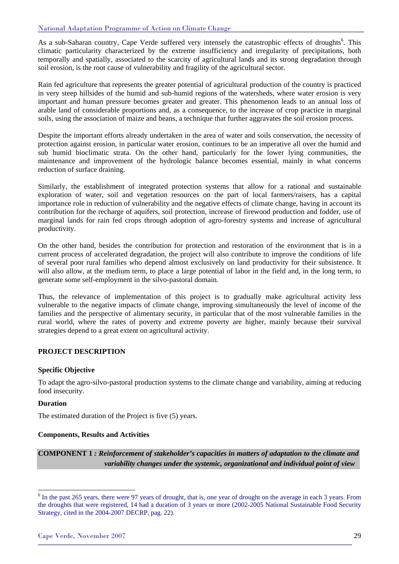As a sub-Saharan country, Cape Verde suffered very intensely the catastrophic effects of droughts<sup>6</sup>. This climatic particularity characterized by the extreme insufficiency and irregularity of precipitations, both temporally and spatially, associated to the scarcity of agricultural lands and its strong degradation through soil erosion, is the root cause of vulnerability and fragility of the agricultural sector.

Rain fed agriculture that represents the greater potential of agricultural production of the country is practiced in very steep hillsides of the humid and sub-humid regions of the watersheds, where water erosion is very important and human pressure becomes greater and greater. This phenomenon leads to an annual loss of arable land of considerable proportions and, as a consequence, to the increase of crop practice in marginal soils, using the association of maize and beans, a technique that further aggravates the soil erosion process.

Despite the important efforts already undertaken in the area of water and soils conservation, the necessity of protection against erosion, in particular water erosion, continues to be an imperative all over the humid and sub humid bioclimatic strata. On the other hand, particularly for the lower lying communities, the maintenance and improvement of the hydrologic balance becomes essential, mainly in what concerns reduction of surface draining.

Similarly, the establishment of integrated protection systems that allow for a rational and sustainable exploration of water, soil and vegetation resources on the part of local farmers/raisers, has a capital importance role in reduction of vulnerability and the negative effects of climate change, having in account its contribution for the recharge of aquifers, soil protection, increase of firewood production and fodder, use of marginal lands for rain fed crops through adoption of agro-forestry systems and increase of agricultural productivity.

On the other hand, besides the contribution for protection and restoration of the environment that is in a current process of accelerated degradation, the project will also contribute to improve the conditions of life of several poor rural families who depend almost exclusively on land productivity for their subsistence. It will also allow, at the medium term, to place a large potential of labor in the field and, in the long term, to generate some self-employment in the silvo-pastoral domain.

Thus, the relevance of implementation of this project is to gradually make agricultural activity less vulnerable to the negative impacts of climate change, improving simultaneously the level of income of the families and the perspective of alimentary security, in particular that of the most vulnerable families in the rural world, where the rates of poverty and extreme poverty are higher, mainly because their survival strategies depend to a great extent on agricultural activity.

### **PROJECT DESCRIPTION**

### **Specific Objective**

To adapt the agro-silvo-pastoral production systems to the climate change and variability, aiming at reducing food insecurity.

### **Duration**

l

The estimated duration of the Project is five (5) years.

#### **Components, Results and Activities**

**COMPONENT 1** *: Reinforcement of stakeholder's capacities in matters of adaptation to the climate and variability changes under the systemic, organizational and individual point of view* 

 $6$  In the past 265 years, there were 97 years of drought, that is, one year of drought on the average in each 3 years. From the droughts that were registered, 14 had a duration of 3 years or more (2002-2005 National Sustainable Food Security Strategy, cited in the 2004-2007 DECRP, pag. 22).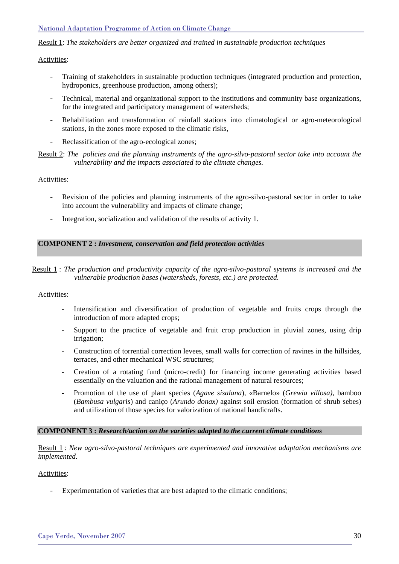#### National Adaptation Programme of Action on Climate Change

Result 1: *The stakeholders are better organized and trained in sustainable production techniques*

### Activities:

- Training of stakeholders in sustainable production techniques (integrated production and protection, hydroponics, greenhouse production, among others);
- Technical, material and organizational support to the institutions and community base organizations, for the integrated and participatory management of watersheds;
- Rehabilitation and transformation of rainfall stations into climatological or agro-meteorological stations, in the zones more exposed to the climatic risks,
- Reclassification of the agro-ecological zones;

#### Result 2: *The policies and the planning instruments of the agro-silvo-pastoral sector take into account the vulnerability and the impacts associated to the climate changes.*

### Activities:

- Revision of the policies and planning instruments of the agro-silvo-pastoral sector in order to take into account the vulnerability and impacts of climate change;
- Integration, socialization and validation of the results of activity 1.

### **COMPONENT 2 :** *Investment, conservation and field protection activities*

Result 1 : *The production and productivity capacity of the agro-silvo-pastoral systems is increased and the vulnerable production bases (watersheds, forests, etc.) are protected.* 

#### Activities:

- Intensification and diversification of production of vegetable and fruits crops through the introduction of more adapted crops;
- Support to the practice of vegetable and fruit crop production in pluvial zones, using drip irrigation;
- Construction of torrential correction levees, small walls for correction of ravines in the hillsides, terraces, and other mechanical WSC structures;
- Creation of a rotating fund (micro-credit) for financing income generating activities based essentially on the valuation and the rational management of natural resources;
- Promotion of the use of plant species (*Agave sisalana*), «Barnelo» (*Grewia villosa),* bamboo (*Bambusa vulgaris*) and caniço (*Arundo donax)* against soil erosion (formation of shrub sebes) and utilization of those species for valorization of national handicrafts.

#### **COMPONENT 3 :** *Research/action on the varieties adapted to the current climate conditions*

Result 1 : *New agro-silvo-pastoral techniques are experimented and innovative adaptation mechanisms are implemented.*

#### Activities:

- Experimentation of varieties that are best adapted to the climatic conditions;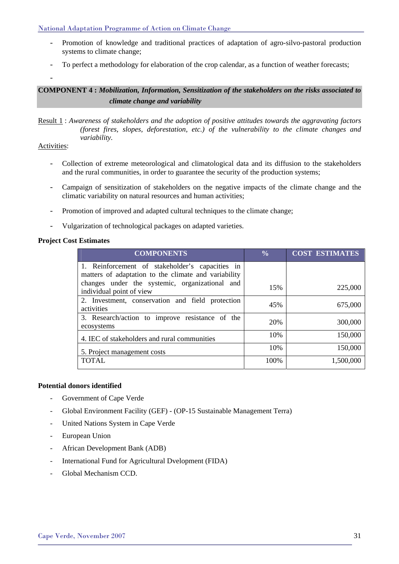National Adaptation Programme of Action on Climate Change

- Promotion of knowledge and traditional practices of adaptation of agro-silvo-pastoral production systems to climate change;
- To perfect a methodology for elaboration of the crop calendar, as a function of weather forecasts;

-

**COMPONENT 4 :** *Mobilization, Information, Sensitization of the stakeholders on the risks associated to climate change and variability* 

Result 1 : *Awareness of stakeholders and the adoption of positive attitudes towards the aggravating factors (forest fires, slopes, deforestation, etc.) of the vulnerability to the climate changes and variability.* 

### Activities:

- Collection of extreme meteorological and climatological data and its diffusion to the stakeholders and the rural communities, in order to guarantee the security of the production systems;
- Campaign of sensitization of stakeholders on the negative impacts of the climate change and the climatic variability on natural resources and human activities;
- Promotion of improved and adapted cultural techniques to the climate change;
- Vulgarization of technological packages on adapted varieties.

### **Project Cost Estimates**

| <b>COMPONENTS</b>                                                                                       | $\frac{0}{0}$ | <b>COST ESTIMATES</b> |
|---------------------------------------------------------------------------------------------------------|---------------|-----------------------|
| 1. Reinforcement of stakeholder's capacities in<br>matters of adaptation to the climate and variability |               |                       |
| changes under the systemic, organizational and<br>individual point of view                              | 15%           | 225,000               |
| 2. Investment, conservation and field protection<br>activities                                          | 45%           | 675,000               |
| 3. Research/action to improve resistance of the<br>ecosystems                                           | 20%           | 300,000               |
| 4. IEC of stakeholders and rural communities                                                            | 10%           | 150,000               |
| 5. Project management costs                                                                             | 10%           | 150,000               |
| <b>TOTAL</b>                                                                                            | 100%          | 1,500,000             |

#### **Potential donors identified**

- Government of Cape Verde
- Global Environment Facility (GEF) (OP-15 Sustainable Management Terra)
- United Nations System in Cape Verde
- European Union
- African Development Bank (ADB)
- International Fund for Agricultural Dvelopment (FIDA)
- Global Mechanism CCD.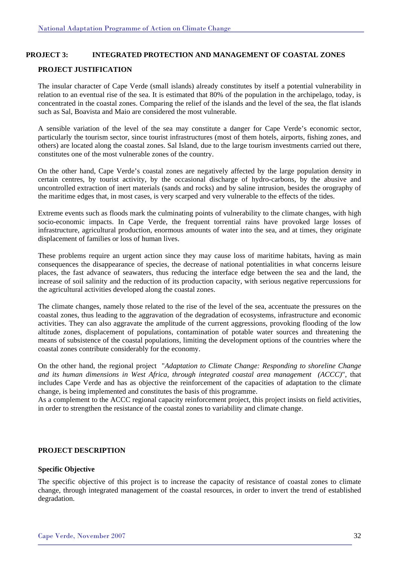### **PROJECT 3: INTEGRATED PROTECTION AND MANAGEMENT OF COASTAL ZONES**

#### **PROJECT JUSTIFICATION**

The insular character of Cape Verde (small islands) already constitutes by itself a potential vulnerability in relation to an eventual rise of the sea. It is estimated that 80% of the population in the archipelago, today, is concentrated in the coastal zones. Comparing the relief of the islands and the level of the sea, the flat islands such as Sal, Boavista and Maio are considered the most vulnerable.

A sensible variation of the level of the sea may constitute a danger for Cape Verde's economic sector, particularly the tourism sector, since tourist infrastructures (most of them hotels, airports, fishing zones, and others) are located along the coastal zones. Sal Island, due to the large tourism investments carried out there, constitutes one of the most vulnerable zones of the country.

On the other hand, Cape Verde's coastal zones are negatively affected by the large population density in certain centres, by tourist activity, by the occasional discharge of hydro-carbons, by the abusive and uncontrolled extraction of inert materials (sands and rocks) and by saline intrusion, besides the orography of the maritime edges that, in most cases, is very scarped and very vulnerable to the effects of the tides.

Extreme events such as floods mark the culminating points of vulnerability to the climate changes, with high socio-economic impacts. In Cape Verde, the frequent torrential rains have provoked large losses of infrastructure, agricultural production, enormous amounts of water into the sea, and at times, they originate displacement of families or loss of human lives.

These problems require an urgent action since they may cause loss of maritime habitats, having as main consequences the disappearance of species, the decrease of national potentialities in what concerns leisure places, the fast advance of seawaters, thus reducing the interface edge between the sea and the land, the increase of soil salinity and the reduction of its production capacity, with serious negative repercussions for the agricultural activities developed along the coastal zones.

The climate changes, namely those related to the rise of the level of the sea, accentuate the pressures on the coastal zones, thus leading to the aggravation of the degradation of ecosystems, infrastructure and economic activities. They can also aggravate the amplitude of the current aggressions, provoking flooding of the low altitude zones, displacement of populations, contamination of potable water sources and threatening the means of subsistence of the coastal populations, limiting the development options of the countries where the coastal zones contribute considerably for the economy.

On the other hand, the regional project "*Adaptation to Climate Change: Responding to shoreline Change and its human dimensions in West Africa, through integrated coastal area management (ACCC)*", that includes Cape Verde and has as objective the reinforcement of the capacities of adaptation to the climate change, is being implemented and constitutes the basis of this programme.

As a complement to the ACCC regional capacity reinforcement project, this project insists on field activities, in order to strengthen the resistance of the coastal zones to variability and climate change.

### **PROJECT DESCRIPTION**

#### **Specific Objective**

The specific objective of this project is to increase the capacity of resistance of coastal zones to climate change, through integrated management of the coastal resources, in order to invert the trend of established degradation.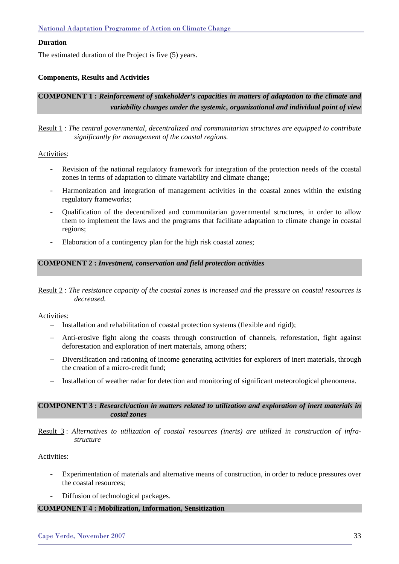### **Duration**

The estimated duration of the Project is five (5) years.

### **Components, Results and Activities**

### **COMPONENT 1 :** *Reinforcement of stakeholder's capacities in matters of adaptation to the climate and variability changes under the systemic, organizational and individual point of view*

Result 1 : *The central governmental, decentralized and communitarian structures are equipped to contribute significantly for management of the coastal regions.* 

#### Activities:

- Revision of the national regulatory framework for integration of the protection needs of the coastal zones in terms of adaptation to climate variability and climate change;
- Harmonization and integration of management activities in the coastal zones within the existing regulatory frameworks;
- Qualification of the decentralized and communitarian governmental structures, in order to allow them to implement the laws and the programs that facilitate adaptation to climate change in coastal regions;
- Elaboration of a contingency plan for the high risk coastal zones;

#### **COMPONENT 2 :** *Investment, conservation and field protection activities*

Result 2 : *The resistance capacity of the coastal zones is increased and the pressure on coastal resources is decreased.* 

#### Activities:

- − Installation and rehabilitation of coastal protection systems (flexible and rigid);
- − Anti-erosive fight along the coasts through construction of channels, reforestation, fight against deforestation and exploration of inert materials, among others;
- − Diversification and rationing of income generating activities for explorers of inert materials, through the creation of a micro-credit fund;
- − Installation of weather radar for detection and monitoring of significant meteorological phenomena.

#### **COMPONENT 3 :** *Research/action in matters related to utilization and exploration of inert materials in costal zones*

Result 3 : *Alternatives to utilization of coastal resources (inerts) are utilized in construction of infrastructure* 

#### Activities:

- Experimentation of materials and alternative means of construction, in order to reduce pressures over the coastal resources;
- Diffusion of technological packages.

### **COMPONENT 4 : Mobilization, Information, Sensitization**

### Cape Verde, November 2007 33